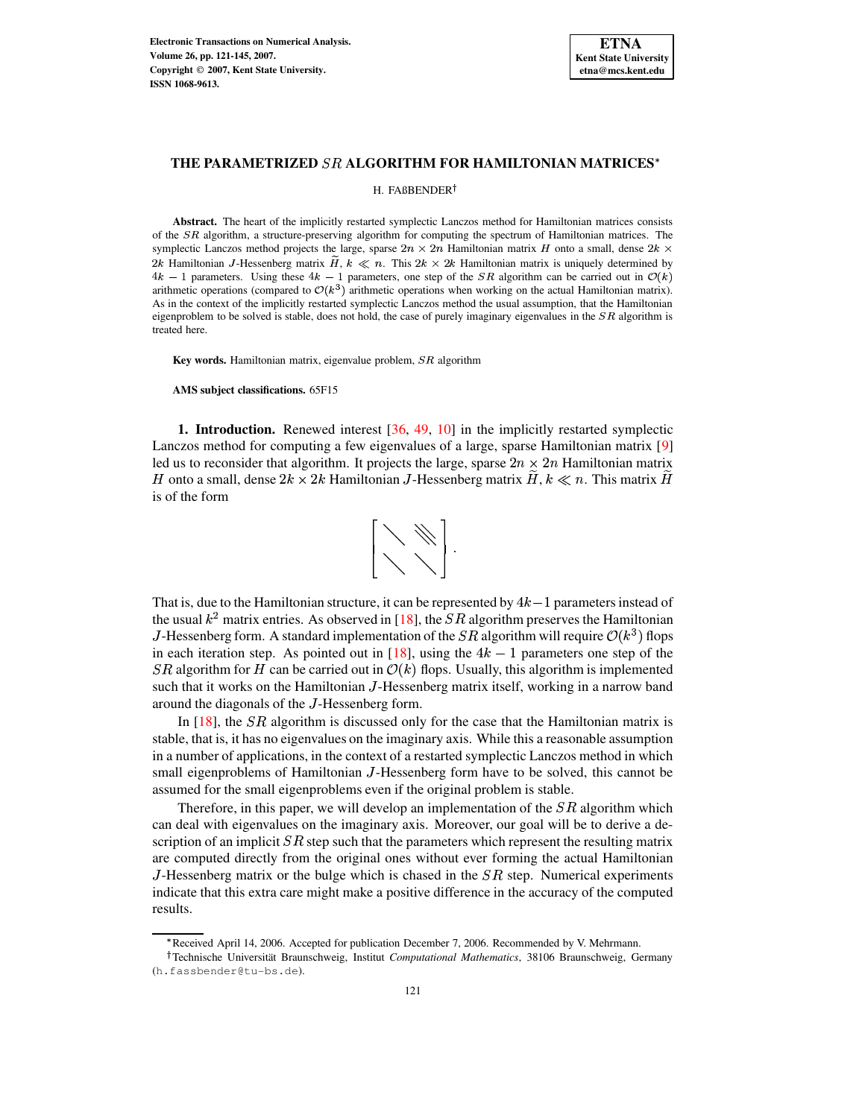

H. FAßBENDER

**Abstract.** The heart of the implicitly restarted symplectic Lanczos method for Hamiltonian matrices consists of the  $SR$  algorithm, a structure-preserving algorithm for computing the spectrum of Hamiltonian matrices. The symplectic Lanczos method projects the large, sparse  $2n \times 2n$  Hamiltonian matrix H onto a small, dense  $2k \times$ 2k Hamiltonian J-Hessenberg matrix H,  $k \ll n$ . This  $2k \times 2k$  Hamiltonian matrix is uniquely determined by  $4k - 1$  parameters. Using these  $4k - 1$  parameters, one step of the SR algorithm can be carried out in  $\mathcal{O}(k)$ arithmetic operations (compared to  $\mathcal{O}(k^3)$  arithmetic operations when working on the actual Hamiltonian matrix). As in the context of the implicitly restarted symplectic Lanczos method the usual assumption, that the Hamiltonian eigenproblem to be solved is stable, does not hold, the case of purely imaginary eigenvalues in the  $SR$  algorithm is treated here.

**Key words.** Hamiltonian matrix, eigenvalue problem,  $SR$  algorithm

**AMS subject classifications.** 65F15

**1. Introduction.** Renewed interest [\[36,](#page-24-0) [49,](#page-24-1) [10\]](#page-23-0) in the implicitly restarted symplectic Lanczos method for computing a few eigenvalues of a large, sparse Hamiltonian matrix [\[9\]](#page-23-1) led us to reconsider that algorithm. It projects the large, sparse  $2n \times 2n$  Hamiltonian matrix H onto a small, dense  $2k \times 2k$  Hamiltonian J-Hessenberg matrix  $H, k \ll n$ . This matrix  $H$ is of the form



That is, due to the Hamiltonian structure, it can be represented by  $4k-1$  parameters instead of the usual  $k^2$  matrix entries. As observed in [\[18\]](#page-23-2), the SR algorithm preserves the Hamiltonian J-Hessenberg form. A standard implementation of the SR algorithm will require  $\mathcal{O}(k^3)$  flops in each iteration step. As pointed out in [\[18\]](#page-23-2), using the  $4k-1$  parameters one step of the SR algorithm for H can be carried out in  $\mathcal{O}(k)$  flops. Usually, this algorithm is implemented such that it works on the Hamiltonian J-Hessenberg matrix itself, working in a narrow band around the diagonals of the <sup>1</sup>-Hessenberg form.

In  $[18]$ , the *SR* algorithm is discussed only for the case that the Hamiltonian matrix is stable, that is, it has no eigenvalues on the imaginary axis. While this a reasonable assumption in a number of applications, in the context of a restarted symplectic Lanczos method in which small eigenproblems of Hamiltonian J-Hessenberg form have to be solved, this cannot be assumed for the small eigenproblems even if the original problem is stable.

Therefore, in this paper, we will develop an implementation of the  $SR$  algorithm which can deal with eigenvalues on the imaginary axis. Moreover, our goal will be to derive a description of an implicit  $SR$  step such that the parameters which represent the resulting matrix are computed directly from the original ones without ever forming the actual Hamiltonian J-Hessenberg matrix or the bulge which is chased in the  $SR$  step. Numerical experiments indicate that this extra care might make a positive difference in the accuracy of the computed results.

Received April 14, 2006. Accepted for publication December 7, 2006. Recommended by V. Mehrmann.

Technische Universitat¨ Braunschweig, Institut *Computational Mathematics*, 38106 Braunschweig, Germany (h.fassbender@tu-bs.de).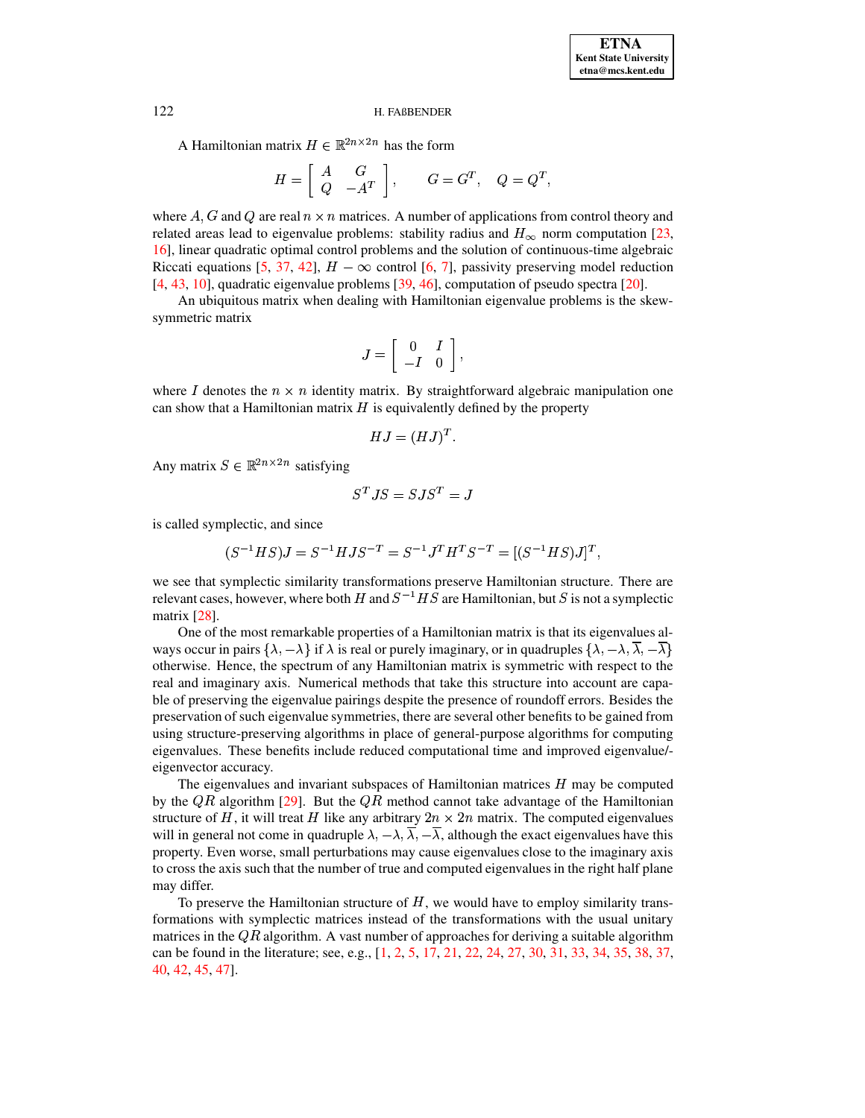A Hamiltonian matrix  $H \in \mathbb{R}^{2n \times 2n}$  has the form

$$
H = \left[ \begin{array}{cc} A & G \\ Q & -A^T \end{array} \right], \qquad G = G^T, \quad Q = Q^T,
$$

where  $A, G$  and  $Q$  are real  $n \times n$  matrices. A number of applications from control theory and related areas lead to eigenvalue problems: stability radius and  $H_{\infty}$  norm computation [\[23,](#page-24-2) [16\]](#page-23-3), linear quadratic optimal control problems and the solution of continuous-time algebraic Riccati equations [\[5,](#page-23-4) [37,](#page-24-3) [42\]](#page-24-4),  $H - \infty$  control [\[6,](#page-23-5) [7\]](#page-23-6), passivity preserving model reduction [\[4,](#page-23-7) [43,](#page-24-5) [10\]](#page-23-0), quadratic eigenvalue problems [\[39,](#page-24-6) [46\]](#page-24-7), computation of pseudo spectra [\[20\]](#page-24-8).

An ubiquitous matrix when dealing with Hamiltonian eigenvalue problems is the skewsymmetric matrix

$$
J=\left[\begin{array}{cc} 0 & I \\ -I & 0 \end{array}\right],
$$

where I denotes the  $n \times n$  identity matrix. By straightforward algebraic manipulation one can show that a Hamiltonian matrix  $H$  is equivalently defined by the property

$$
HJ = (HJ)^T.
$$

Any matrix  $S \in \mathbb{R}^{2n \times 2n}$  satisfying

$$
S^{T}JS=SJS^{T}=\mathbb{J}
$$

is called symplectic, and since

$$
(S^{-1}HS)J = S^{-1}HJS^{-T} = S^{-1}J^T H^T S^{-T} = [(S^{-1}HS)J]^T,
$$

we see that symplectic similarity transformations preserve Hamiltonian structure. There are relevant cases, however, where both  $H$  and  $S^{-1}HS$  are Hamiltonian, but  $S$  is not a symplectic matrix [\[28\]](#page-24-9).

One of the most remarkable properties of a Hamiltonian matrix is that its eigenvalues always occur in pairs  $\{\lambda,-\lambda\}$  if  $\lambda$  is real or purely imaginary, or in quadruples  $\{\lambda,-\lambda,\lambda,-\lambda\}$ otherwise. Hence, the spectrum of any Hamiltonian matrix is symmetric with respect to the real and imaginary axis. Numerical methods that take this structure into account are capable of preserving the eigenvalue pairings despite the presence of roundoff errors. Besides the preservation of such eigenvalue symmetries, there are several other benefits to be gained from using structure-preserving algorithms in place of general-purpose algorithms for computing eigenvalues. These benefits include reduced computational time and improved eigenvalue/ eigenvector accuracy.

The eigenvalues and invariant subspaces of Hamiltonian matrices  $H$  may be computed by the  $QR$  algorithm [\[29\]](#page-24-10). But the  $QR$  method cannot take advantage of the Hamiltonian structure of H, it will treat H like any arbitrary  $2n \times 2n$  matrix. The computed eigenvalues will in general not come in quadruple  $\lambda, -\lambda, \lambda, -\lambda$ , although the exact eigenvalues have this e and an general acts came in quality perty,  $(1, 1, 1)$ , and eigenvalues close to the imaginary axis property. Even worse, small perturbations may cause eigenvalues close to the imaginary axis to cross the axis such that the number of true and computed eigenvalues in the right half plane may differ.

To preserve the Hamiltonian structure of  $H$ , we would have to employ similarity transformations with symplectic matrices instead of the transformations with the usual unitary matrices in the  $\overline{QR}$  algorithm. A vast number of approaches for deriving a suitable algorithm can be found in the literature; see, e.g., [\[1,](#page-23-8) [2,](#page-23-9) [5,](#page-23-4) [17,](#page-23-10) [21,](#page-24-11) [22,](#page-24-12) [24,](#page-24-13) [27,](#page-24-14) [30,](#page-24-15) [31,](#page-24-16) [33,](#page-24-17) [34,](#page-24-18) [35,](#page-24-19) [38,](#page-24-20) [37,](#page-24-3) [40,](#page-24-21) [42,](#page-24-4) [45,](#page-24-22) [47\]](#page-24-23).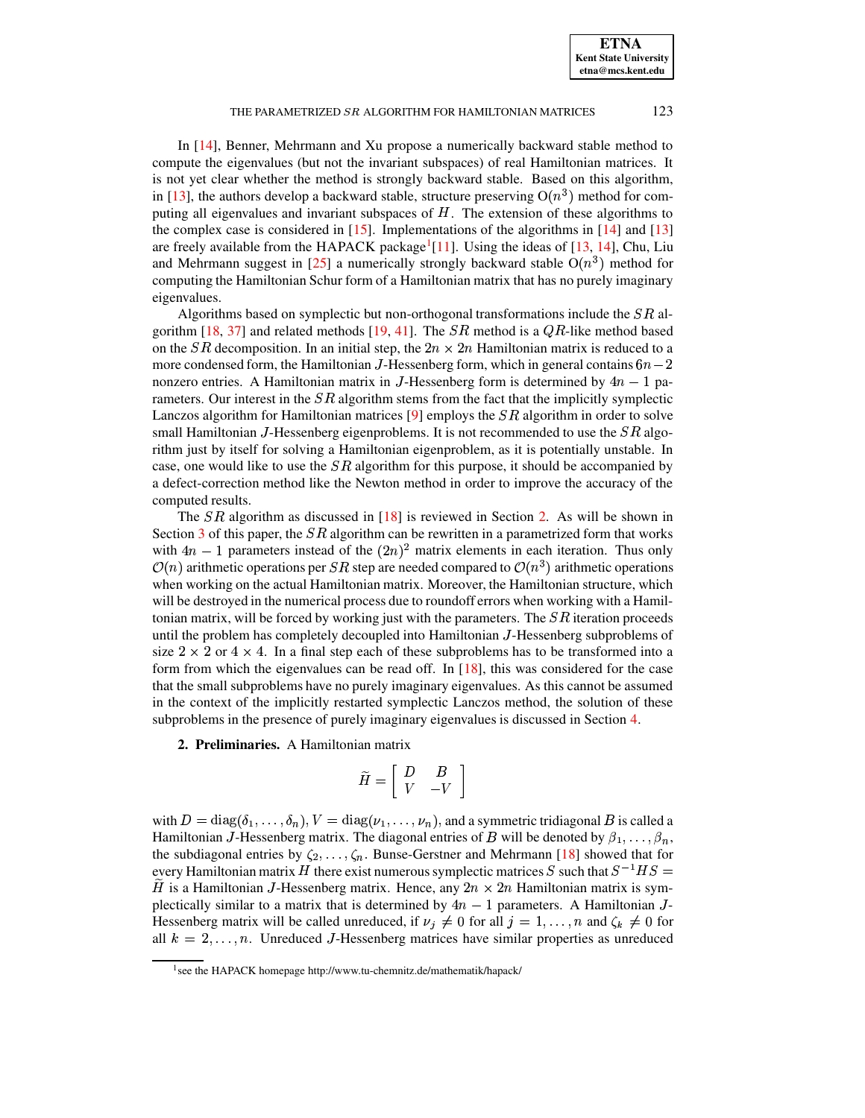**ETNA Kent State University etna@mcs.kent.edu**

## THE PARAMETRIZED  $SR$  ALGORITHM FOR HAMILTONIAN MATRICES  $123$

In [\[14\]](#page-23-11), Benner, Mehrmann and Xu propose a numerically backward stable method to compute the eigenvalues (but not the invariant subspaces) of real Hamiltonian matrices. It is not yet clear whether the method is strongly backward stable. Based on this algorithm, in [\[13\]](#page-23-12), the authors develop a backward stable, structure preserving  $O(n^3)$  method for computing all eigenvalues and invariant subspaces of  $H$ . The extension of these algorithms to the complex case is considered in  $[15]$ . Implementations of the algorithms in  $[14]$  and  $[13]$ are freely available from the HAPACK package<sup>[1](#page-2-0)</sup>[\[11\]](#page-23-14). Using the ideas of [\[13,](#page-23-12) [14\]](#page-23-11), Chu, Liu and Mehrmann suggest in [\[25\]](#page-24-24) a numerically strongly backward stable  $O(n^3)$  method for computing the Hamiltonian Schur form of a Hamiltonian matrix that has no purely imaginary eigenvalues.

Algorithms based on symplectic but non-orthogonal transformations include the  $SR$  al-gorithm [\[18,](#page-23-2) [37\]](#page-24-3) and related methods [\[19,](#page-23-15) [41\]](#page-24-25). The  $SR$  method is a  $QR$ -like method based on the SR decomposition. In an initial step, the  $2n \times 2n$  Hamiltonian matrix is reduced to a more condensed form, the Hamiltonian J-Hessenberg form, which in general contains  $6n-2$ nonzero entries. A Hamiltonian matrix in J-Hessenberg form is determined by  $4n-1$  parameters. Our interest in the  $SR$  algorithm stems from the fact that the implicitly symplectic Lanczos algorithm for Hamiltonian matrices [\[9\]](#page-23-1) employs the  $SR$  algorithm in order to solve small Hamiltonian J-Hessenberg eigenproblems. It is not recommended to use the  $SR$  algorithm just by itself for solving a Hamiltonian eigenproblem, as it is potentially unstable. In case, one would like to use the  $SR$  algorithm for this purpose, it should be accompanied by a defect-correction method like the Newton method in order to improve the accuracy of the computed results.

The  $SR$  algorithm as discussed in  $[18]$  is reviewed in Section [2.](#page-2-1) As will be shown in Section [3](#page-5-0) of this paper, the  $SR$  algorithm can be rewritten in a parametrized form that works with  $4n-1$  parameters instead of the  $(2n)^2$  matrix elements in each iteration. Thus only  $\mathcal{O}(n)$  arithmetic operations per SR step are needed compared to  $\mathcal{O}(n^3)$  arithmetic operations when working on the actual Hamiltonian matrix. Moreover, the Hamiltonian structure, which will be destroyed in the numerical process due to roundoff errors when working with a Hamiltonian matrix, will be forced by working just with the parameters. The  $SR$  iteration proceeds until the problem has completely decoupled into Hamiltonian <sup>1</sup>-Hessenberg subproblems of size  $2 \times 2$  or  $4 \times 4$ . In a final step each of these subproblems has to be transformed into a form from which the eigenvalues can be read off. In [\[18\]](#page-23-2), this was considered for the case that the small subproblems have no purely imaginary eigenvalues. As this cannot be assumed in the context of the implicitly restarted symplectic Lanczos method, the solution of these subproblems in the presence of purely imaginary eigenvalues is discussed in Section [4.](#page-12-0)

<span id="page-2-1"></span>**2. Preliminaries.** A Hamiltonian matrix

$$
\widetilde{H}=\left[\begin{array}{cc} D & B \\ V & -V \end{array}\right]
$$

with  $D = diag(\delta_1, ..., \delta_n), V = diag(\nu_1, ..., \nu_n)$ , and a symmetric tridiagonal B is called a Hamiltonian J-Hessenberg matrix. The diagonal entries of B will be denoted by  $\beta_1, \ldots, \beta_n$ , the subdiagonal entries by  $\zeta_2, \ldots, \zeta_n$ . Bunse-Gerstner and Mehrmann [\[18\]](#page-23-2) showed that for every Hamiltonian matrix  $H$  there exist numerous symplectic matrices  $S$  such that  $S^{-1}HS =$ H is a Hamiltonian J-Hessenberg matrix. Hence, any  $2n \times 2n$  Hamiltonian matrix is symplectically similar to a matrix that is determined by  $4n-1$  parameters. A Hamiltonian J-Hessenberg matrix will be called unreduced, if  $\nu_j \neq 0$  for all  $j = 1, ..., n$  and  $\zeta_k \neq 0$  for all  $k = 2, \ldots, n$ . Unreduced J-Hessenberg matrices have similar properties as unreduced

<span id="page-2-0"></span><sup>&</sup>lt;sup>1</sup> see the HAPACK homepage http://www.tu-chemnitz.de/mathematik/hapack/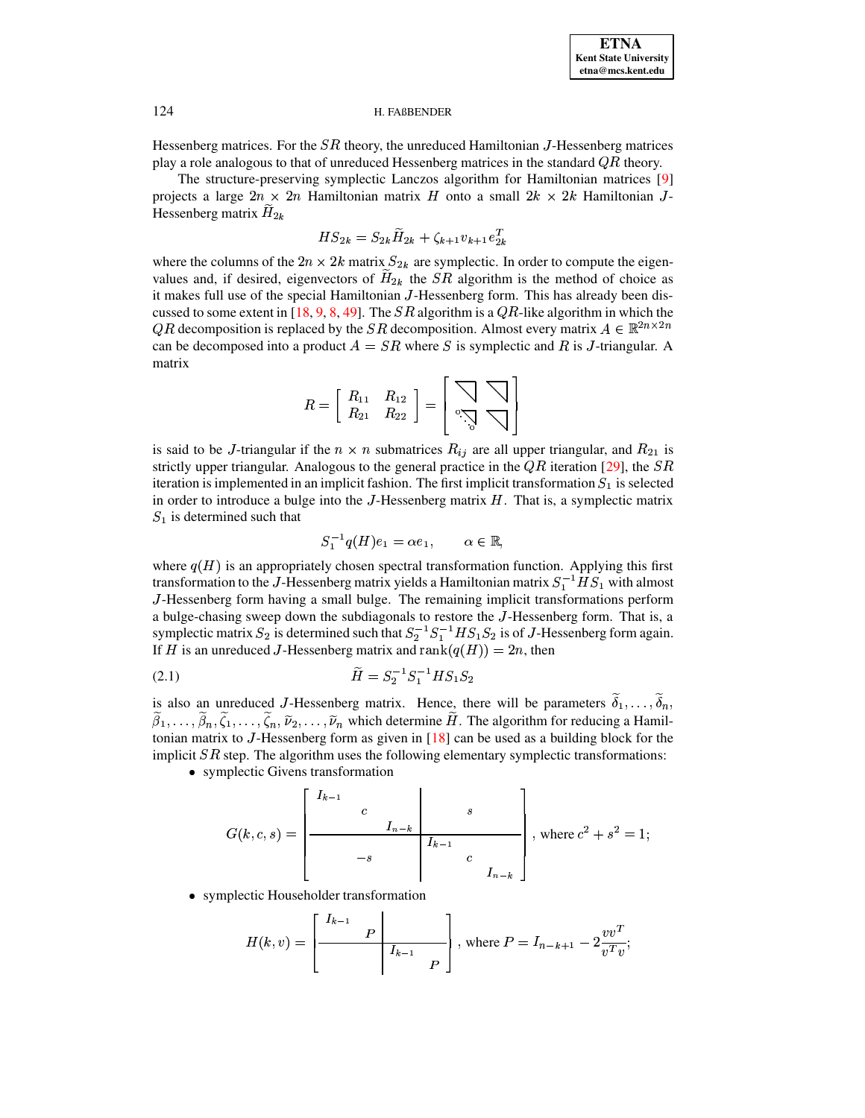Hessenberg matrices. For the  $SR$  theory, the unreduced Hamiltonian J-Hessenberg matrices play a role analogous to that of unreduced Hessenberg matrices in the standard  $\overline{QR}$  theory.

The structure-preserving symplectic Lanczos algorithm for Hamiltonian matrices [\[9\]](#page-23-1) projects a large  $2n \times 2n$  Hamiltonian matrix H onto a small  $2k \times 2k$  Hamiltonian J-Hessenberg matrix  $H_{2k}$  $\mathbb{Z}^n$ 

$$
HS_{2k} = S_{2k}\widetilde{H}_{2k} + \zeta_{k+1}v_{k+1}e_{2k}^T
$$

where the columns of the  $2n \times 2k$  matrix  $S_{2k}$  are symplectic. In order to compute the eigenvalues and, if desired, eigenvectors of  $H_{2k}$  the  $SR$  algorithm is the method of choice as it makes full use of the special Hamiltonian  $J$ -Hessenberg form. This has already been dis-cussed to some extent in [\[18,](#page-23-2) [9,](#page-23-1) [8,](#page-23-16) [49\]](#page-24-1). The *SR* algorithm is a  $QR$ -like algorithm in which the  $QR$  decomposition is replaced by the  $SR$  decomposition. Almost every matrix  $A \in \mathbb{R}^{2n \times 2n}$ can be decomposed into a product  $A = SR$  where S is symplectic and R is J-triangular. A matrix

$$
R=\left[\begin{array}{cc} R_{11} & R_{12} \\ R_{21} & R_{22} \end{array}\right]=\left[\begin{array}{c}\bigtriangledown \\ \circ\searrow \\ \circ\searrow\end{array}\right]
$$

is said to be *J*-triangular if the  $n \times n$  submatrices  $R_{ij}$  are all upper triangular, and  $R_{21}$  is strictly upper triangular. Analogous to the general practice in the  $QR$  iteration [\[29\]](#page-24-10), the  $SR$ iteration is implemented in an implicit fashion. The first implicit transformation  $S_1$  is selected in order to introduce a bulge into the J-Hessenberg matrix  $H$ . That is, a symplectic matrix  $S_1$  is determined such that

$$
S_1^{-1}q(H)e_1 = \alpha e_1, \qquad \alpha \in \mathbb{R},
$$

where  $q(H)$  is an appropriately chosen spectral transformation function. Applying this first transformation to the J-Hessenberg matrix yields a Hamiltonian matrix  $S_1^{-1}HS_1$  with almost <sup>1</sup>-Hessenberg form having a small bulge. The remaining implicit transformations perform a bulge-chasing sweep down the subdiagonals to restore the <sup>1</sup>-Hessenberg form. That is, a symplectic matrix  $S_2$  is determined such that  $S_2^{-1}S_1^{-1}HS_1S_2$  is of J-Hessenberg form again. If H is an unreduced J-Hessenberg matrix and  $rank(q(H)) = 2n$ , then

<span id="page-3-0"></span>2-Z psr <sup>D</sup> psr <sup>r</sup> <sup>r</sup> (2.1)

is also an unreduced J-Hessenberg matrix. Hence, there will be parameters  $\delta_1, \ldots, \delta_k$  $\beta_1, \ldots, \beta_n, \zeta_1, \ldots, \zeta_n, \tilde{\nu}_2, \ldots, \tilde{\nu}_n$  which determine H. The algorithm for reducing a Hamil- $\mathcal{L}_{\mu}$ tonian matrix to  $J$ -Hessenberg form as given in  $[18]$  can be used as a building block for the implicit  $SR$  step. The algorithm uses the following elementary symplectic transformations:

® symplectic Givens transformation

$$
G(k, c, s) = \begin{bmatrix} I_{k-1} & & & & \\ & c & & & s \\ & & & I_{n-k} & \\ & & & & I_{k-1} & \\ & & & & & c \\ & & & & & & I_{n-k} \end{bmatrix}, \text{ where } c^2 + s^2 = 1;
$$

® symplectic Householder transformation

 $\overline{a}$ 

$$
H(k, v) = \left[ \frac{I_{k-1}}{P} \frac{P}{I_{k-1}} \frac{P}{P} \right], \text{ where } P = I_{n-k+1} - 2 \frac{v v^T}{v^T v};
$$

:;

±'²'³¸´ »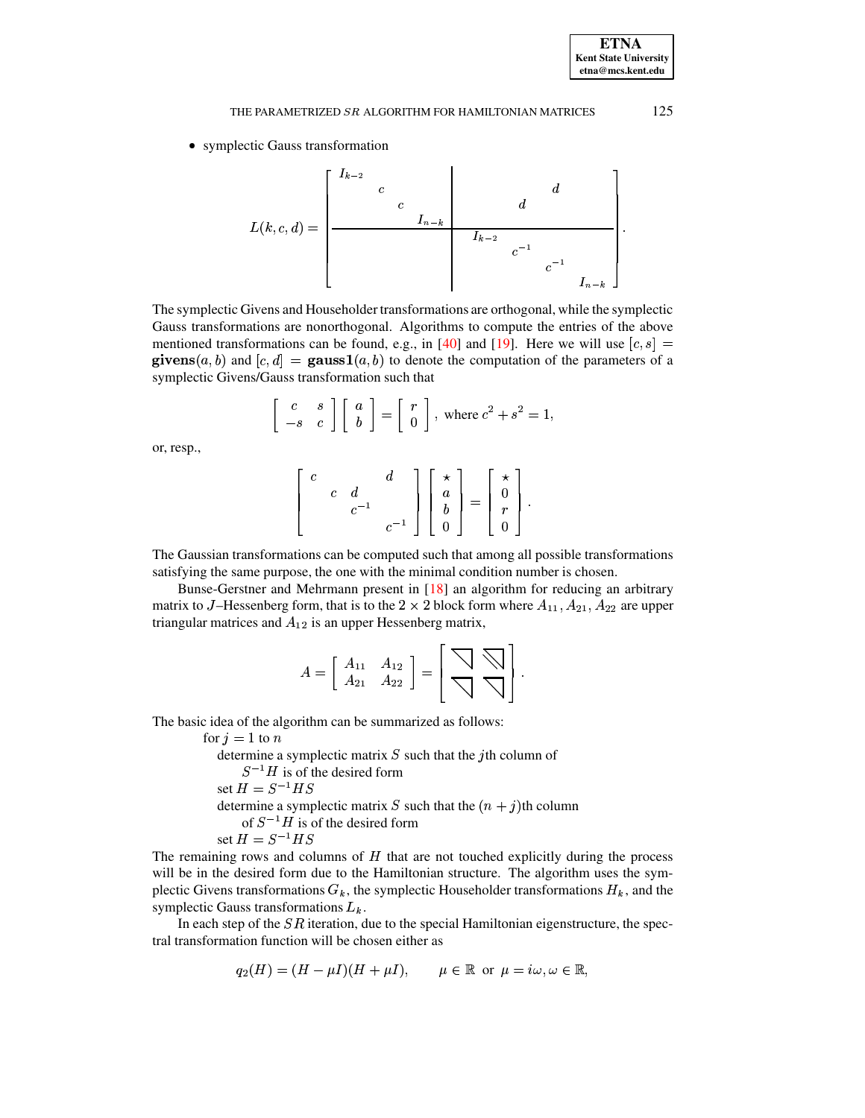• symplectic Gauss transformation

The symplectic Givens and Householder transformations are orthogonal, while the symplectic Gauss transformations are nonorthogonal. Algorithms to compute the entries of the above mentioned transformations can be found, e.g., in [40] and [19]. Here we will use  $[c, s]$  = givens $(a, b)$  and  $[c, d] =$  gauss1 $(a, b)$  to denote the computation of the parameters of a symplectic Givens/Gauss transformation such that

$$
\left[\begin{array}{cc} c & s \\ -s & c \end{array}\right] \left[\begin{array}{c} a \\ b \end{array}\right] = \left[\begin{array}{c} r \\ 0 \end{array}\right], \text{ where } c^2 + s^2 = 1,
$$

or, resp.,

$$
\left[\begin{array}{ccc} c & d \\ & c & d \\ & & c^{-1} & \\ & & & c^{-1} \end{array}\right] \left[\begin{array}{c} \star \\ a \\ b \\ 0 \end{array}\right] = \left[\begin{array}{c} \star \\ 0 \\ r \\ 0 \end{array}\right].
$$

The Gaussian transformations can be computed such that among all possible transformations satisfying the same purpose, the one with the minimal condition number is chosen.

Bunse-Gerstner and Mehrmann present in  $[18]$  an algorithm for reducing an arbitrary matrix to J-Hessenberg form, that is to the 2  $\times$  2 block form where  $A_{11}$ ,  $A_{21}$ ,  $A_{22}$  are upper triangular matrices and  $A_{12}$  is an upper Hessenberg matrix,

$$
A = \left[ \begin{array}{cc} A_{11} & A_{12} \\ A_{21} & A_{22} \end{array} \right] = \left[ \begin{array}{c} \bigtriangledown \\ \bigtriangledown \bigtriangledown \end{array} \right].
$$

The basic idea of the algorithm can be summarized as follows:

for  $j = 1$  to n determine a symplectic matrix  $S$  such that the *j*th column of  $S^{-1}H$  is of the desired form set  $H = S^{-1}HS$ determine a symplectic matrix S such that the  $(n + j)$ th column of  $S^{-1}H$  is of the desired form set  $H = S^{-1}HS$ 

The remaining rows and columns of  $H$  that are not touched explicitly during the process will be in the desired form due to the Hamiltonian structure. The algorithm uses the symplectic Givens transformations  $G_k$ , the symplectic Householder transformations  $H_k$ , and the symplectic Gauss transformations  $L_k$ .

In each step of the  $SR$  iteration, due to the special Hamiltonian eigenstructure, the spectral transformation function will be chosen either as

$$
q_2(H) = (H - \mu I)(H + \mu I), \qquad \mu \in \mathbb{R} \text{ or } \mu = i\omega, \omega \in \mathbb{R},
$$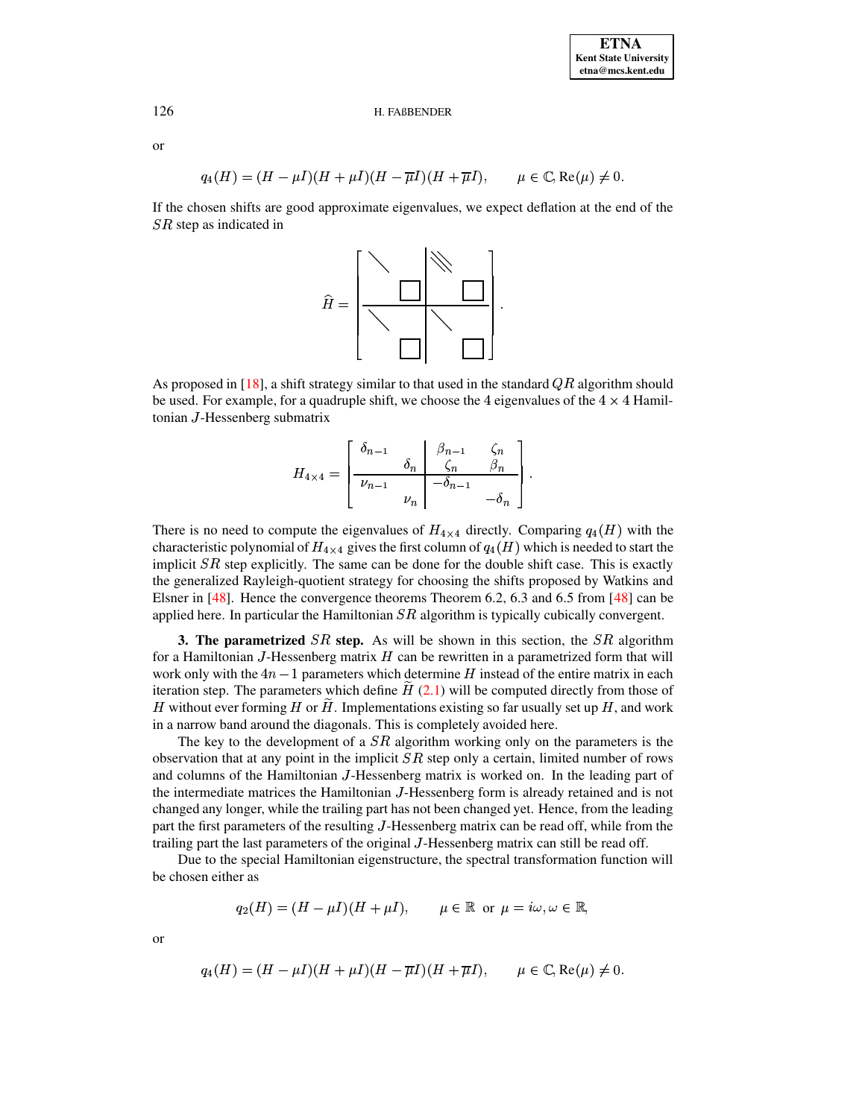<sub>or</sub>

126

$$
q_4(H) = (H - \mu I)(H + \mu I)(H - \overline{\mu}I)(H + \overline{\mu}I), \qquad \mu \in \mathbb{C}, \text{Re}(\mu) \neq 0.
$$

If the chosen shifts are good approximate eigenvalues, we expect deflation at the end of the  $SR$  step as indicated in



As proposed in [18], a shift strategy similar to that used in the standard  $QR$  algorithm should be used. For example, for a quadruple shift, we choose the 4 eigenvalues of the  $4 \times 4$  Hamiltonian J-Hessenberg submatrix

$$
H_{4 \times 4} = \begin{bmatrix} \delta_{n-1} & \beta_{n-1} & \zeta_n \\ \hline \nu_{n-1} & \zeta_n & \beta_n \\ \nu_n & -\delta_{n-1} & -\delta_n \end{bmatrix}
$$

There is no need to compute the eigenvalues of  $H_{4\times4}$  directly. Comparing  $q_4(H)$  with the characteristic polynomial of  $H_{4\times4}$  gives the first column of  $q_4(H)$  which is needed to start the implicit  $SR$  step explicitly. The same can be done for the double shift case. This is exactly the generalized Rayleigh-quotient strategy for choosing the shifts proposed by Watkins and Elsner in  $[48]$ . Hence the convergence theorems Theorem 6.2, 6.3 and 6.5 from  $[48]$  can be applied here. In particular the Hamiltonian  $SR$  algorithm is typically cubically convergent.

<span id="page-5-0"></span>**3. The parametrized**  $SR$  step. As will be shown in this section, the  $SR$  algorithm for a Hamiltonian J-Hessenberg matrix  $H$  can be rewritten in a parametrized form that will work only with the  $4n-1$  parameters which determine H instead of the entire matrix in each iteration step. The parameters which define  $\hat{H}$  (2.1) will be computed directly from those of H without ever forming H or H. Implementations existing so far usually set up  $H$ , and work in a narrow band around the diagonals. This is completely avoided here.

The key to the development of a  $SR$  algorithm working only on the parameters is the observation that at any point in the implicit  $SR$  step only a certain, limited number of rows and columns of the Hamiltonian J-Hessenberg matrix is worked on. In the leading part of the intermediate matrices the Hamiltonian J-Hessenberg form is already retained and is not changed any longer, while the trailing part has not been changed yet. Hence, from the leading part the first parameters of the resulting J-Hessenberg matrix can be read off, while from the trailing part the last parameters of the original J-Hessenberg matrix can still be read off.

Due to the special Hamiltonian eigenstructure, the spectral transformation function will be chosen either as

$$
q_2(H) = (H - \mu I)(H + \mu I),
$$
  $\mu \in \mathbb{R}$  or  $\mu = i\omega, \omega \in \mathbb{R}$ ,

<sub>or</sub>

$$
q_4(H) = (H - \mu I)(H + \mu I)(H - \overline{\mu}I)(H + \overline{\mu}I), \qquad \mu \in \mathbb{C}, \text{Re}(\mu) \neq 0.
$$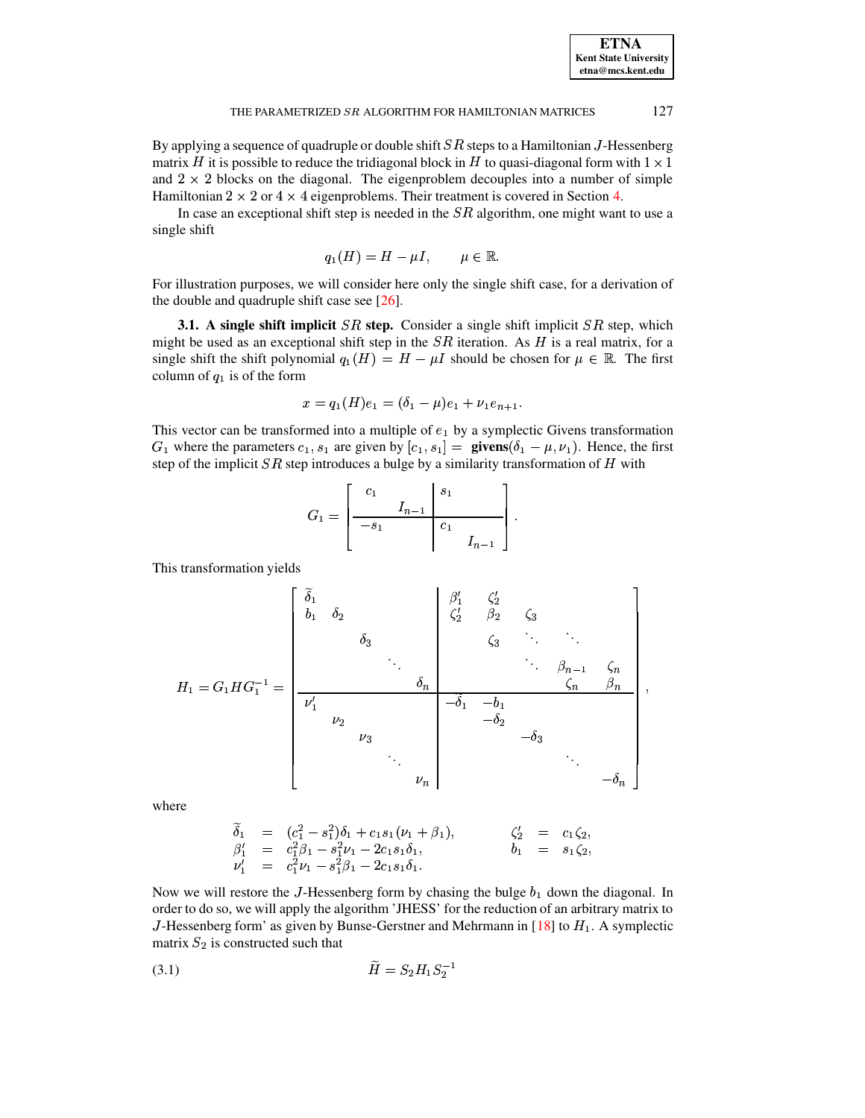| <b>ETNA</b>                  |
|------------------------------|
| <b>Kent State University</b> |
| etna@mcs.kent.edu            |

By applying a sequence of quadruple or double shift  $SR$  steps to a Hamiltonian  $J$ -Hessenberg matrix H it is possible to reduce the tridiagonal block in H to quasi-diagonal form with  $1 \times 1$ and  $2 \times 2$  blocks on the diagonal. The eigenproblem decouples into a number of simple Hamiltonian  $2 \times 2$  or  $4 \times 4$  eigenproblems. Their treatment is covered in Section 4.

In case an exceptional shift step is needed in the  $SR$  algorithm, one might want to use a single shift

$$
q_1(H) = H - \mu I, \qquad \mu \in \mathbb{R}.
$$

For illustration purposes, we will consider here only the single shift case, for a derivation of the double and quadruple shift case see [26].

**3.1.** A single shift implicit  $SR$  step. Consider a single shift implicit  $SR$  step, which might be used as an exceptional shift step in the  $SR$  iteration. As H is a real matrix, for a single shift the shift polynomial  $q_1(H) = H - \mu I$  should be chosen for  $\mu \in \mathbb{R}$ . The first column of  $q_1$  is of the form

$$
x = q_1(H)e_1 = (\delta_1 - \mu)e_1 + \nu_1 e_{n+1}.
$$

This vector can be transformed into a multiple of  $e_1$  by a symplectic Givens transformation  $G_1$  where the parameters  $c_1$ ,  $s_1$  are given by  $[c_1, s_1] =$  givens $(\delta_1 - \mu, \nu_1)$ . Hence, the first step of the implicit  $SR$  step introduces a bulge by a similarity transformation of  $H$  with

$$
G_1 = \left[ \begin{array}{rr|rr} c_1 & & s_1 & \\ \hline & I_{n-1} & & \\ \hline -s_1 & & & c_1 & \\ & & & I_{n-1} \end{array} \right].
$$

This transformation yields

$$
H_{1} = G_{1}HG_{1}^{-1} = \begin{bmatrix} \tilde{\delta}_{1} & & & \beta_{1}^{1} & \zeta_{2}^{1} & & \zeta_{2}^{1} & \zeta_{2}^{1} & & \zeta_{2}^{1} & \zeta_{2}^{1} & & \zeta_{2}^{1} & \zeta_{2}^{1} & & \zeta_{2}^{1} & \zeta_{2}^{1} & & \zeta_{2}^{1} & & \zeta_{2}^{1} & & \zeta_{2}^{1} & & \zeta_{2}^{1} & & \zeta_{2}^{1} & & \zeta_{2}^{1} & & \zeta_{2}^{1} & & \zeta_{2}^{1} & & \zeta_{2}^{1} & & \zeta_{2}^{1} & & \zeta_{2}^{1} & & \zeta_{2}^{1} & & \zeta_{2}^{1} & & \zeta_{2}^{1} & & \zeta_{2}^{1} & & \zeta_{2}^{1} & & \zeta_{2}^{1} & & \zeta_{2}^{1} & & \zeta_{2}^{1} & & \zeta_{2}^{1} & & \zeta_{2}^{1} & & \zeta_{2}^{1} & & \zeta_{2}^{1} & & \zeta_{2}^{1} & & \zeta_{2}^{1} & & \zeta_{2}^{1} & & \zeta_{2}^{1} & & \zeta_{2}^{1} & & \zeta_{2}^{1} & & \zeta_{2}^{1} & & \zeta_{2}^{1} & & \zeta_{2}^{1} & & \zeta_{2}^{1} & & \zeta_{2}^{1} & & \zeta_{2}^{1} & & \zeta_{2}^{1} & & \zeta_{2}^{1} & & \zeta_{2}^{1} & & \zeta_{2}^{1} & & \zeta_{2}^{1} & & \zeta_{2}^{1} & & \zeta_{2}^{1} & & \zeta_{2}^{1} & & \zeta_{2}^{1} & & \zeta_{2}^{1} & & \zeta_{2}^{1} & & \zeta_{2}^{1} & & \zeta_{2}^{1} & & \zeta_{2}^{1} & & \zeta_{2}^{1} & & \zeta_{2}^{1} & & \zeta_{2}^{1} & & \zeta_{2}^{1} & & \zeta_{2}^{1} & & \zeta_{2}^{1} & & \zeta_{2}^{1} & & \zeta_{2
$$

where

$$
\begin{array}{rcl}\n\widetilde{\delta}_1 & = & (c_1^2 - s_1^2)\delta_1 + c_1 s_1(\nu_1 + \beta_1), & \zeta_2' & = & c_1 \zeta_2, \\
\beta_1' & = & c_1^2 \beta_1 - s_1^2 \nu_1 - 2c_1 s_1 \delta_1, & b_1 & = & s_1 \zeta_2, \\
\nu_1' & = & c_1^2 \nu_1 - s_1^2 \beta_1 - 2c_1 s_1 \delta_1.\n\end{array}
$$

Now we will restore the J-Hessenberg form by chasing the bulge  $b_1$  down the diagonal. In order to do so, we will apply the algorithm 'JHESS' for the reduction of an arbitrary matrix to J-Hessenberg form' as given by Bunse-Gerstner and Mehrmann in [18] to  $H_1$ . A symplectic matrix  $S_2$  is constructed such that

<span id="page-6-0"></span>
$$
\widetilde{H} = S_2 H_1 S_2^{-1}
$$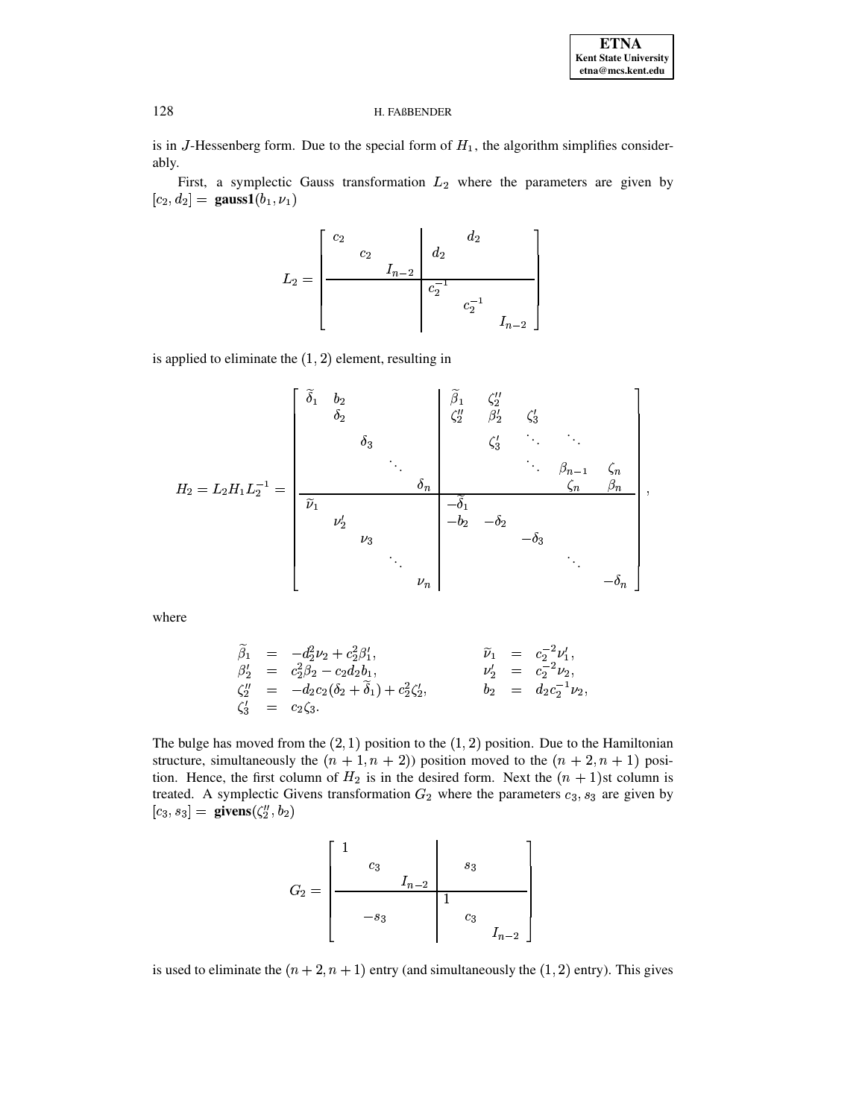$\overline{ }$ 

#### H. FAßBENDER

is in J-Hessenberg form. Due to the special form of  $H_1$ , the algorithm simplifies considerably.

First, a symplectic Gauss transformation  $L_2$  where the parameters are given by  $[c_2, d_2] = \text{gauss1}(b_1, \nu_1)$ 

$$
L_2 = \begin{bmatrix} c_2 & & & d_2 & & \\ & c_2 & & & \\ & & I_{n-2} & & \\ & & & c_2^{-1} & & \\ & & & & c_2^{-1} & \\ & & & & & I_{n-2} \end{bmatrix}
$$

is applied to eliminate the  $(1, 2)$  element, resulting in

$$
H_2 = L_2 H_1 L_2^{-1} = \begin{bmatrix} \widetilde{\delta}_1 & b_2 & & & & \widetilde{\beta}_1 & \zeta_2'' & & & & \\ & \delta_2 & & & & \zeta_2'' & \beta_2' & \zeta_3' & & & \\ & & \delta_3 & & & \zeta_3' & \ddots & \ddots & & \\ & & & \ddots & & & \ddots & \beta_{n-1} & \zeta_n \\ & & & & \ddots & & & \ddots & \beta_{n-1} & \zeta_n \\ & & & & & \delta_n & & & \zeta_n' & \beta_n \\ & & & & & & \delta_n & & & \zeta_n \\ & & & & & & & \delta_n & & \\ & & & & & & & \delta_n & & \\ & & & & & & & & \delta_n & & \\ & & & & & & & & & \delta_n \end{bmatrix}
$$

where

$$
\begin{array}{rcl}\n\widetilde{\beta}_1 &=& -d_2^2 \nu_2 + c_2^2 \beta'_1, & \widetilde{\nu}_1 &=& c_2^{-2} \nu'_1, \\
\beta'_2 &=& c_2^2 \beta_2 - c_2 d_2 b_1, & \nu'_2 &=& c_2^{-2} \nu_2, \\
\zeta''_2 &=& -d_2 c_2 (\delta_2 + \widetilde{\delta}_1) + c_2^2 \zeta'_2, & b_2 &=& d_2 c_2^{-1} \nu_2 \\
\zeta'_3 &=& c_2 \zeta_3.\n\end{array}
$$

The bulge has moved from the  $(2,1)$  position to the  $(1,2)$  position. Due to the Hamiltonian structure, simultaneously the  $(n + 1, n + 2)$  position moved to the  $(n + 2, n + 1)$  position. Hence, the first column of  $H_2$  is in the desired form. Next the  $(n + 1)$ st column is treated. A symplectic Givens transformation  $G_2$  where the parameters  $c_3$ ,  $s_3$  are given by  $[c_3, s_3] =$  givens $(\zeta_2'', b_2)$ 

is used to eliminate the  $(n + 2, n + 1)$  entry (and simultaneously the  $(1, 2)$  entry). This gives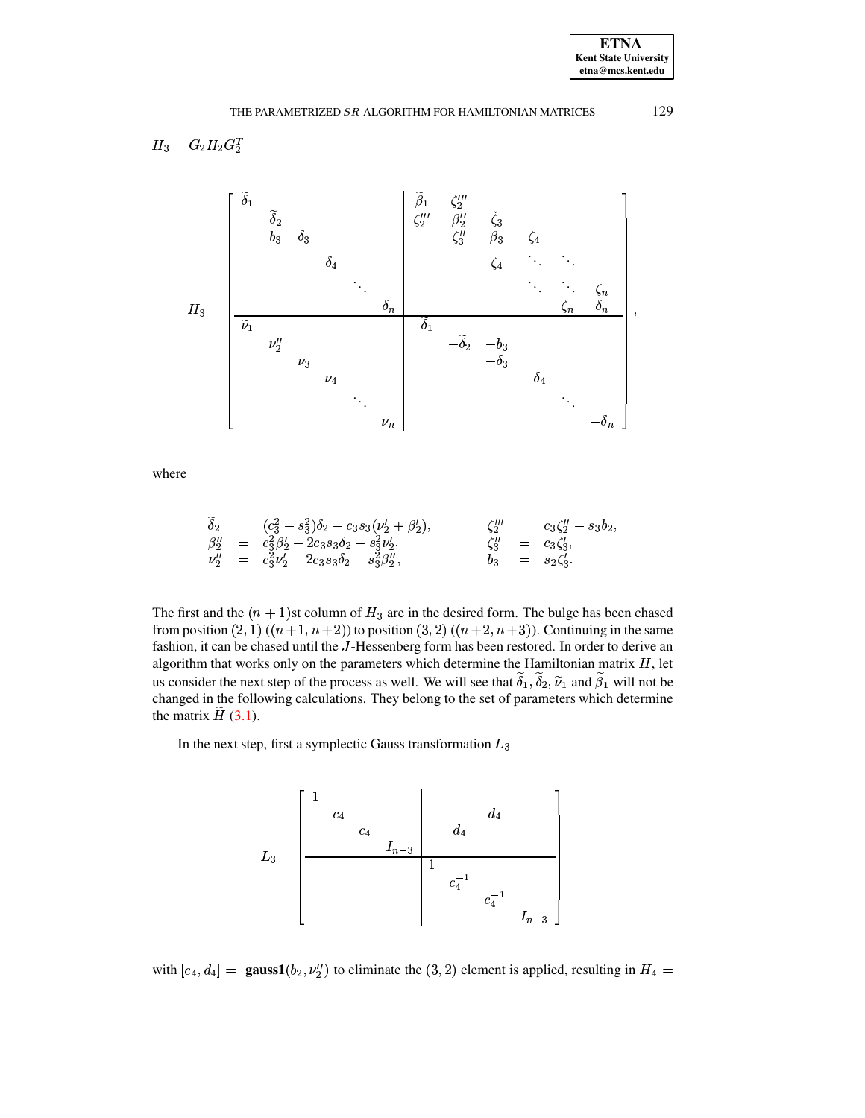$$
H_3 = G_2 H_2 G_2^T
$$

where

$$
\begin{array}{rcl}\n\widetilde{\delta}_2 & = & (c_3^2 - s_3^2)\delta_2 - c_3 s_3(\nu_2' + \beta_2'), & & \zeta_2''' & = & c_3\zeta_2'' - s_3b_2, \\
\beta_2'' & = & c_3^2\beta_2' - 2c_3 s_3\delta_2 - s_3^2\nu_2', & & \zeta_3'' & = & c_3\zeta_3', \\
\nu_2'' & = & c_3^2\nu_2' - 2c_3 s_3\delta_2 - s_3^2\beta_2'', & & b_3 & = & s_2\zeta_3'.\n\end{array}
$$

The first and the  $(n + 1)$ st column of  $H_3$  are in the desired form. The bulge has been chased from position  $(2, 1)$   $((n+1, n+2))$  to position  $(3, 2)$   $((n+2, n+3))$ . Continuing in the same fashion, it can be chased until the J-Hessenberg form has been restored. In order to derive an algorithm that works only on the parameters which determine the Hamiltonian matrix  $H$ , let us consider the next step of the process as well. We will see that  $\tilde{\delta}_1$ ,  $\tilde{\delta}_2$ ,  $\tilde{\nu}_1$  and  $\tilde{\beta}_1$  will not be changed in the following calculations. They belong to the set of parameters which determine the matrix  $\tilde{H}$  (3.1).

In the next step, first a symplectic Gauss transformation<br>  ${\cal L}_3$ 

$$
L_3=\begin{bmatrix}1&&&&&\\&c_4&&&\\&&&c_4&&\\&&&&&d_4&\\&&&&1&&\\&&&&&1&\\&&&&&c_4^{-1}&&\\&&&&&c_4^{-1}&&\\&&&&&&&c_4^{-1}&&\\&&&&&&&I_{n-3}&\end{bmatrix}
$$

with  $[c_4, d_4] = \text{gauss1}(b_2, \nu_2'')$  to eliminate the (3, 2) element is applied, resulting in  $H_4 =$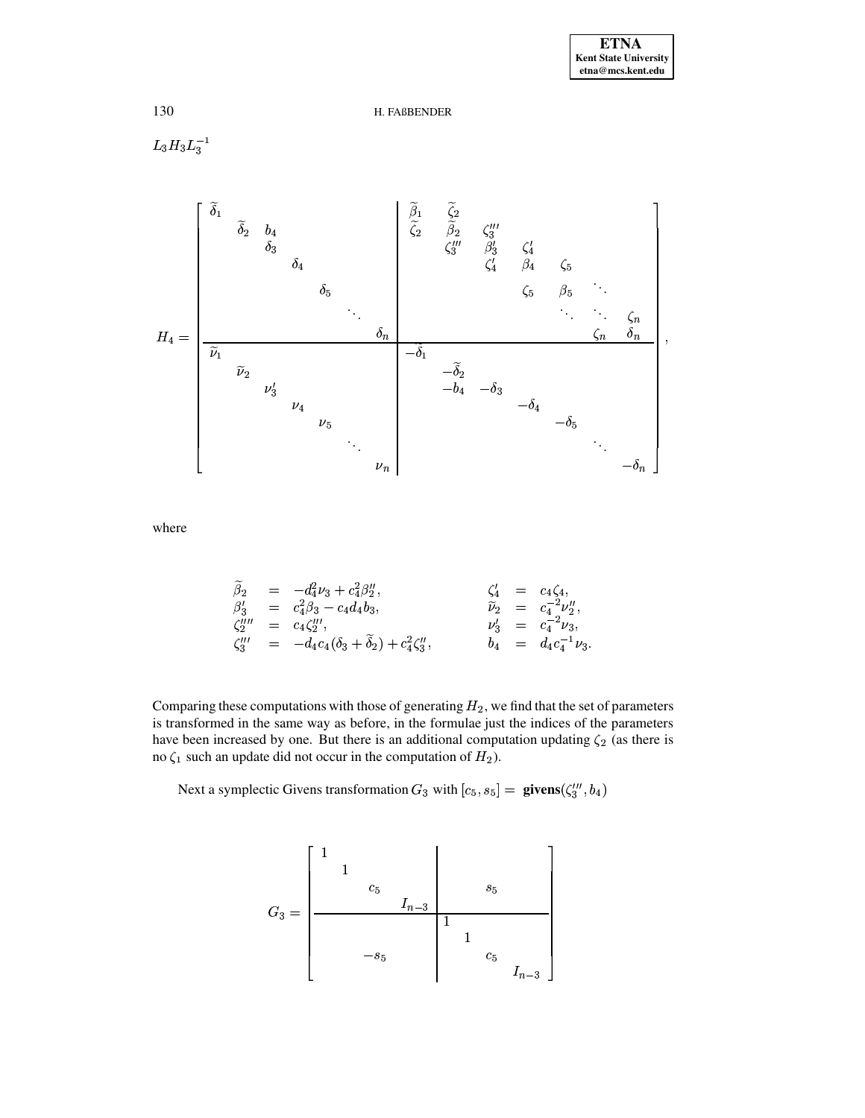$L_3H_3L_3^{-1}$ 



where

$$
\begin{array}{rcl}\n\widetilde{\beta}_2 & = & -d_4^2 \nu_3 + c_4^2 \beta_2'', & \zeta_4' & = & c_4 \zeta_4, \\
\beta_3' & = & c_4^2 \beta_3 - c_4 d_4 b_3, & \widetilde{\nu}_2 & = & c_4^{-2} \nu_2'', \\
\zeta_2''' & = & c_4 \zeta_2'''', & \nu_3' & = & c_4^{-2} \nu_3, \\
\zeta_3''' & = & -d_4 c_4 (\delta_3 + \widetilde{\delta}_2) + c_4^2 \zeta_3''', & b_4 & = & d_4 c_4^{-1} \nu_3.\n\end{array}
$$

Comparing these computations with those of generating  $H_2$ , we find that the set of parameters is transformed in the same way as before, in the formulae just the indices of the parameters have been increased by one. But there is an additional computation updating  $\zeta_2$  (as there is no  $\zeta_1$  such an update did not occur in the computation of  $H_2$ ).

Next a symplectic Givens transformation  $G_3$  with  $[c_5, s_5] =$  givens  $(\zeta_3''', b_4)$ 

$$
G_3=\left[\begin{array}{cc|c}1\\&1\\&&c_5\\&&&s_5\\&&&&1\\&&-s_5&&&1\\&&&&&c_5\\&&&&&I_{n-3}\\&&&&&&I\\&&&&&I_n\\ \end{array}\right]
$$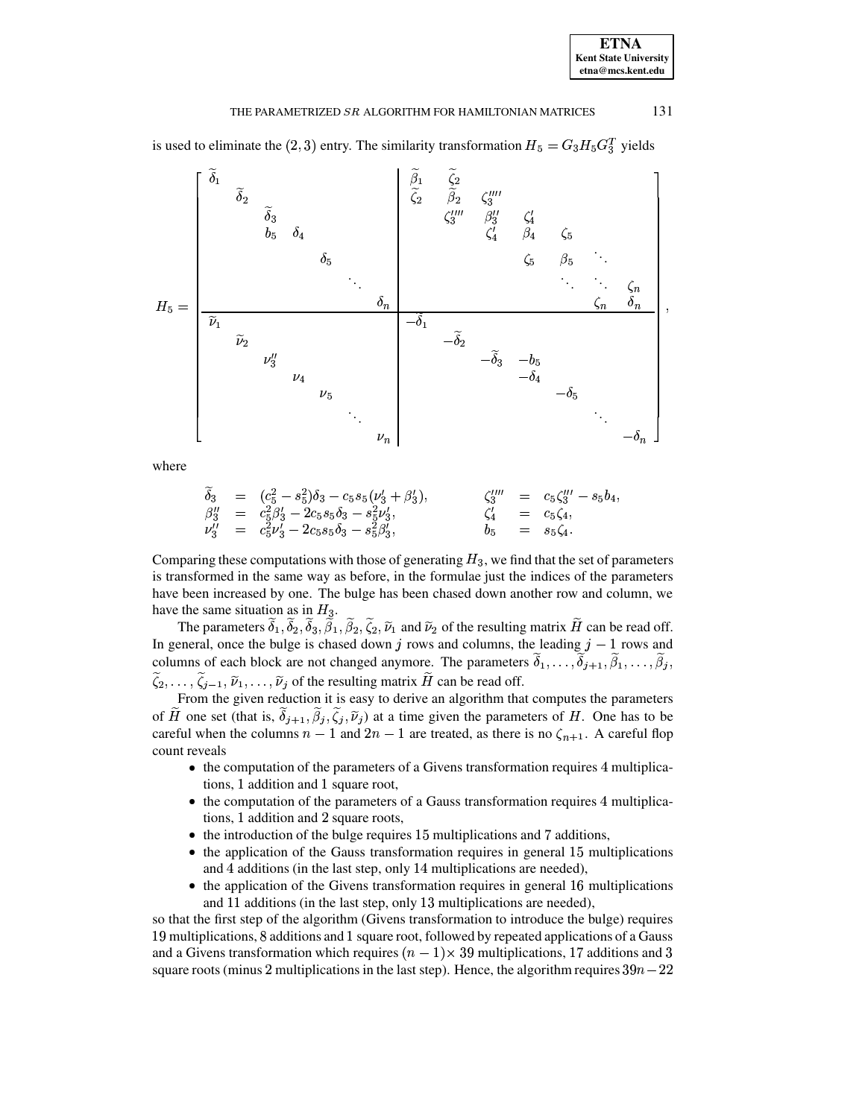is used to eliminate the (2, 3) entry. The similarity transformation  $H_5 = G_3 H_5 G_3^T$  yields

$$
H_5 = \begin{bmatrix} \widetilde{\delta}_1 & \widetilde{\delta}_2 & & & \\ & \widetilde{\delta}_3 & & & \\ & \widetilde{\delta}_3 & \delta_4 & & \\ & \delta_5 & \delta_4 & & \\ & \ddots & & \ddots & \\ & & \ddots & & \\ & & & \ddots & \\ & & & & \ddots & \\ & & & & & \ddots \end{bmatrix}
$$
\n
$$
H_5 = \begin{bmatrix} \widetilde{\delta}_1 & \widetilde{\delta}_2 & \zeta_3'''' & \zeta_4' & \\ & \zeta_3'' & \beta_3'' & \zeta_4' & \\ & \zeta_4' & \beta_4 & \zeta_5 & \\ & \zeta_5 & \beta_5 & \ddots & \\ & \ddots & \ddots & \ddots & \\ & & & & \ddots \end{bmatrix}
$$
\n
$$
v_2
$$
\n
$$
v_3
$$
\n
$$
v_4
$$
\n
$$
v_5
$$
\n
$$
v_n
$$
\n
$$
v_n
$$
\n
$$
v_n
$$

where

$$
\begin{array}{rcl}\n\widetilde{\delta}_3 & = & (c_5^2 - s_5^2)\delta_3 - c_5 s_5(\nu_3' + \beta_3'), & & \zeta_3''' & = & c_5\zeta_3''' - s_5b_4, \\
\beta_3'' & = & c_5^2\beta_3' - 2c_5 s_5\delta_3 - s_5^2\nu_3', & & \zeta_4' & = & c_5\zeta_4, \\
\nu_3'' & = & c_5^2\nu_3' - 2c_5 s_5\delta_3 - s_5^2\beta_3', & b_5 & = & s_5\zeta_4.\n\end{array}
$$

Comparing these computations with those of generating  $H_3$ , we find that the set of parameters is transformed in the same way as before, in the formulae just the indices of the parameters have been increased by one. The bulge has been chased down another row and column, we

have the same situation as in  $H_3$ .<br>The parameters  $\tilde{\delta}_1$ ,  $\tilde{\delta}_2$ ,  $\tilde{\delta}_3$ ,  $\tilde{\beta}_1$ ,  $\tilde{\beta}_2$ ,  $\tilde{\zeta}_2$ ,  $\tilde{\nu}_1$  and  $\tilde{\nu}_2$  of the resulting matrix  $\tilde{H}$  can be read off. In general, once the bulge is chased down j rows and columns, the leading  $j - 1$  rows and columns of each block are not changed anymore. The parameters  $\delta_1, \ldots, \widetilde{\delta}_{j+1}, \widetilde{\beta}_1, \ldots, \widetilde{\beta}_j$  $\tilde{\zeta}_2, \ldots, \tilde{\zeta}_{j-1}, \tilde{\nu}_1, \ldots, \tilde{\nu}_j$  of the resulting matrix  $\tilde{H}$  can be read off.<br>From the given reduction it is easy to derive an algorithm that computes the parameters

of H one set (that is,  $\delta_{j+1}, \beta_j, \zeta_j, \tilde{\nu}_j$ ) at a time given the parameters of H. One has to be careful when the columns  $n-1$  and  $2n-1$  are treated, as there is no  $\zeta_{n+1}$ . A careful flop count reveals

- the computation of the parameters of a Givens transformation requires 4 multiplications, 1 addition and 1 square root,
- the computation of the parameters of a Gauss transformation requires 4 multiplications, 1 addition and 2 square roots,
- $\bullet$  the introduction of the bulge requires 15 multiplications and 7 additions,
- the application of the Gauss transformation requires in general 15 multiplications and 4 additions (in the last step, only 14 multiplications are needed),
- the application of the Givens transformation requires in general 16 multiplications and 11 additions (in the last step, only 13 multiplications are needed),

so that the first step of the algorithm (Givens transformation to introduce the bulge) requires 19 multiplications, 8 additions and 1 square root, followed by repeated applications of a Gauss and a Givens transformation which requires  $(n-1)\times 39$  multiplications, 17 additions and 3 square roots (minus 2 multiplications in the last step). Hence, the algorithm requires  $39n - 22$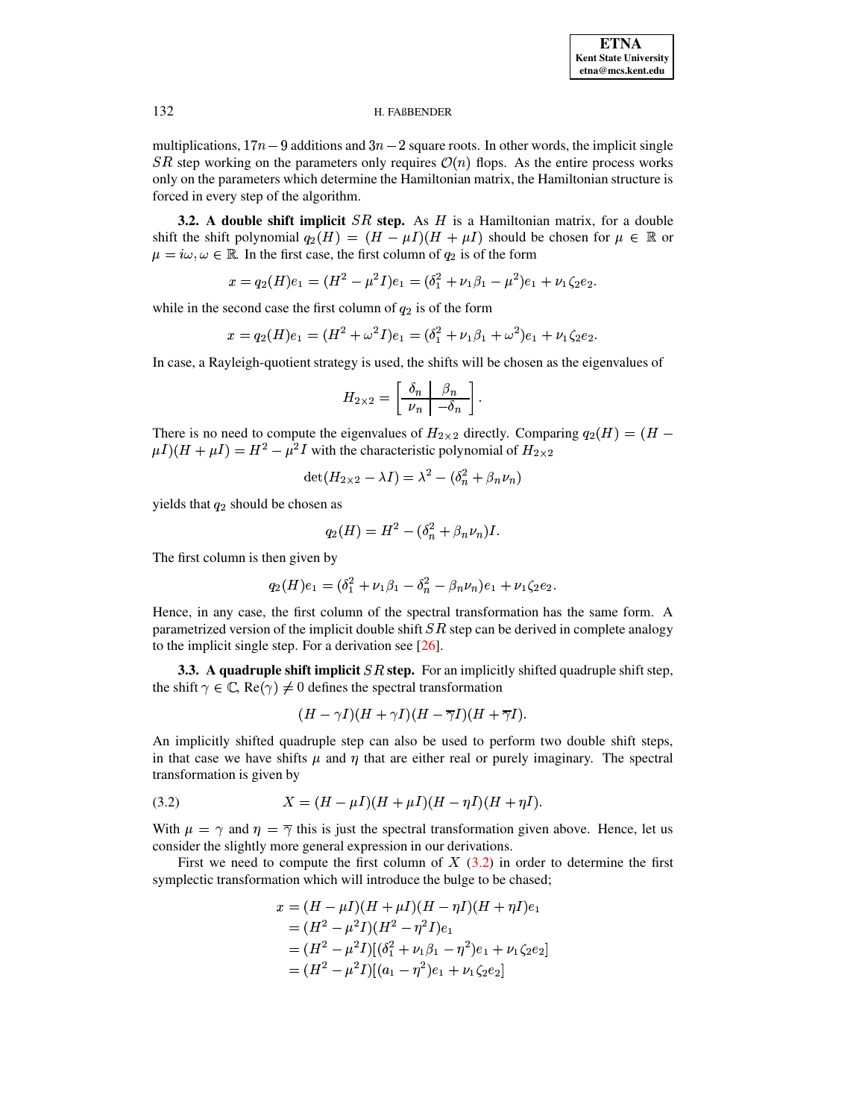multiplications,  $17n - 9$  additions and  $3n - 2$  square roots. In other words, the implicit single SR step working on the parameters only requires  $\mathcal{O}(n)$  flops. As the entire process works only on the parameters which determine the Hamiltonian matrix, the Hamiltonian structure is forced in every step of the algorithm.

**3.2.** A double shift implicit  $SR$  step. As  $H$  is a Hamiltonian matrix, for a double shift the shift polynomial  $q_2(H) = (H - \mu I)(H + \mu I)$  should be chosen for  $\mu \in \mathbb{R}$  or  $\mu = i\omega, \omega \in \mathbb{R}$ . In the first case, the first column of  $q_2$  is of the form

 $x = q_2(H)e_1 = (H^2 - \mu^2 I)e_1 = (\delta_1^2 + \nu_1 \beta_1 - \mu^2)e_1 + \nu_1 \zeta_2 e_2.$ 

while in the second case the first column of  $q_2$  is of the form

$$
x = q_2(H)e_1 = (H^2 + \omega^2 I)e_1 = (\delta_1^2 + \nu_1 \beta_1 + \omega^2)e_1 + \nu_1 \zeta_2 e_2.
$$

In case, a Rayleigh-quotient strategy is used, the shifts will be chosen as the eigenvalues of

$$
H_{2\times 2} = \left[\begin{array}{c|c}\delta_n & \beta_n \\
\hline\nu_n & -\delta_n\n\end{array}\right].
$$

There is no need to compute the eigenvalues of  $H_{2\times 2}$  directly. Comparing  $q_2(H) = (H \mu I$ )( $H + \mu I$ ) =  $H^2 - \mu^2 I$  with the characteristic polynomial of  $H_{2\times 2}$ 

$$
\det(H_{2\times 2}-\lambda I)=\lambda^2-(\delta_n^2+\beta_n\nu_n)
$$

yields that  $q_2$  should be chosen as

$$
q_2(H) = H^2 - (\delta_n^2 + \beta_n \nu_n)I.
$$

The first column is then given by

$$
q_2(H)e_1 = (\delta_1^2 + \nu_1 \beta_1 - \delta_n^2 - \beta_n \nu_n)e_1 + \nu_1 \zeta_2 e_2
$$

Hence, in any case, the first column of the spectral transformation has the same form. A parametrized version of the implicit double shift  $SR$  step can be derived in complete analogy to the implicit single step. For a derivation see  $[26]$ .

3.3. A quadruple shift implicit  $SR$  step. For an implicitly shifted quadruple shift step, the shift  $\gamma \in \mathbb{C}$ , Re( $\gamma$ )  $\neq$  0 defines the spectral transformation

$$
(H-\gamma I)(H+\gamma I)(H-\overline{\gamma} I)(H+\overline{\gamma} I).
$$

An implicitly shifted quadruple step can also be used to perform two double shift steps, in that case we have shifts  $\mu$  and  $\eta$  that are either real or purely imaginary. The spectral transformation is given by

<span id="page-11-0"></span>(3.2) 
$$
X = (H - \mu I)(H + \mu I)(H - \eta I)(H + \eta I).
$$

With  $\mu = \gamma$  and  $\eta = \overline{\gamma}$  this is just the spectral transformation given above. Hence, let us consider the slightly more general expression in our derivations.

First we need to compute the first column of  $X(3.2)$  in order to determine the first symplectic transformation which will introduce the bulge to be chased;

$$
x = (H - \mu I)(H + \mu I)(H - \eta I)(H + \eta I)e_1
$$
  
=  $(H^2 - \mu^2 I)(H^2 - \eta^2 I)e_1$   
=  $(H^2 - \mu^2 I)[(\delta_1^2 + \nu_1 \beta_1 - \eta^2)e_1 + \nu_1 \zeta_2 e_2]$   
=  $(H^2 - \mu^2 I)[(a_1 - \eta^2)e_1 + \nu_1 \zeta_2 e_2]$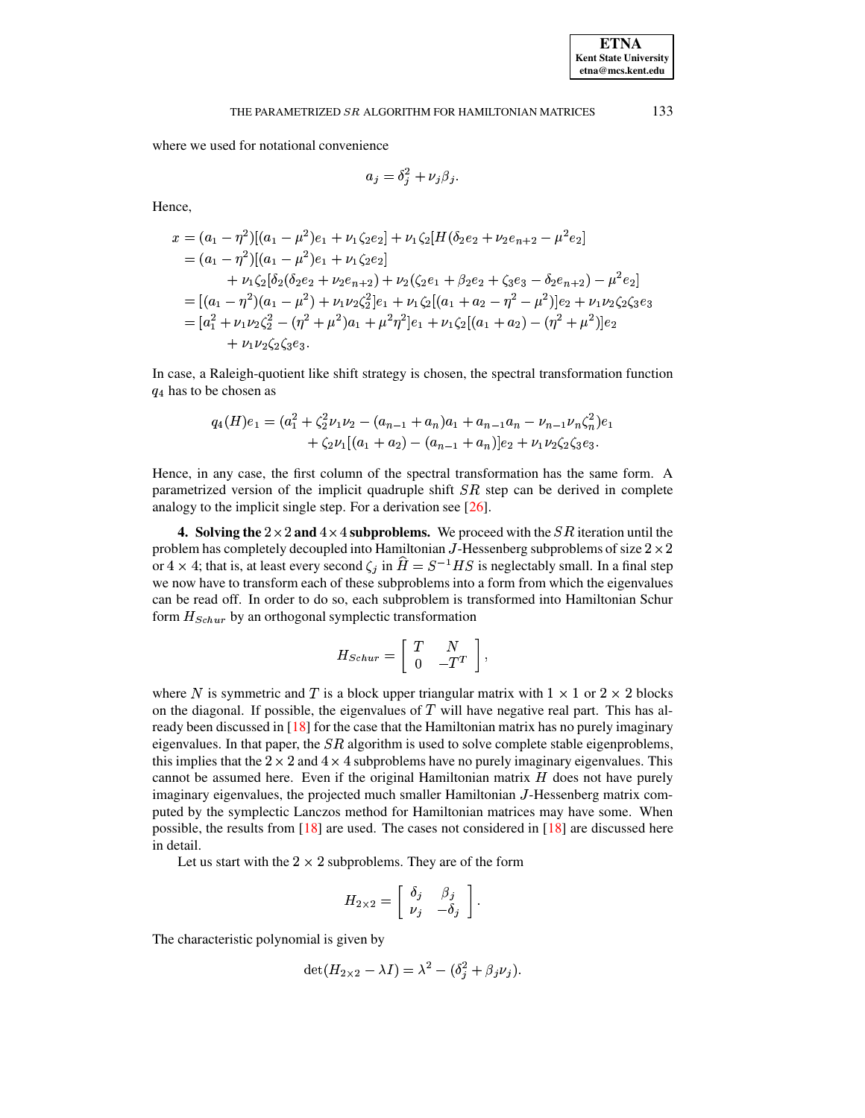where we used for notational convenience

$$
a_j = \delta_j^2 + \nu_j \beta_j.
$$

Hence,

$$
x = (a_1 - \eta^2)[(a_1 - \mu^2)e_1 + \nu_1\zeta_2e_2] + \nu_1\zeta_2[H(\delta_2e_2 + \nu_2e_{n+2} - \mu^2e_2]
$$
  
\n
$$
= (a_1 - \eta^2)[(a_1 - \mu^2)e_1 + \nu_1\zeta_2e_2]
$$
  
\n
$$
+ \nu_1\zeta_2[\delta_2(\delta_2e_2 + \nu_2e_{n+2}) + \nu_2(\zeta_2e_1 + \beta_2e_2 + \zeta_3e_3 - \delta_2e_{n+2}) - \mu^2e_2]
$$
  
\n
$$
= [(a_1 - \eta^2)(a_1 - \mu^2) + \nu_1\nu_2\zeta_2^2]e_1 + \nu_1\zeta_2[(a_1 + a_2 - \eta^2 - \mu^2)]e_2 + \nu_1\nu_2\zeta_2\zeta_3e_3
$$
  
\n
$$
= [a_1^2 + \nu_1\nu_2\zeta_2^2 - (\eta^2 + \mu^2)a_1 + \mu^2\eta^2]e_1 + \nu_1\zeta_2[(a_1 + a_2) - (\eta^2 + \mu^2)]e_2
$$
  
\n
$$
+ \nu_1\nu_2\zeta_2\zeta_3e_3.
$$

In case, a Raleigh-quotient like shift strategy is chosen, the spectral transformation function  $q_4$  has to be chosen as

$$
q_4(H)e_1 = (a_1^2 + \zeta_2^2 \nu_1 \nu_2 - (a_{n-1} + a_n)a_1 + a_{n-1}a_n - \nu_{n-1}\nu_n \zeta_n^2)e_1
$$
  
+  $\zeta_2 \nu_1[(a_1 + a_2) - (a_{n-1} + a_n)]e_2 + \nu_1 \nu_2 \zeta_2 \zeta_3 e_3.$ 

Hence, in any case, the first column of the spectral transformation has the same form. A parametrized version of the implicit quadruple shift  $SR$  step can be derived in complete analogy to the implicit single step. For a derivation see  $[26]$ .

<span id="page-12-0"></span>4. Solving the  $2 \times 2$  and  $4 \times 4$  subproblems. We proceed with the *SR* iteration until the problem has completely decoupled into Hamiltonian J-Hessenberg subproblems of size  $2 \times 2$ or 4 x 4; that is, at least every second  $\zeta_i$  in  $\hat{H} = S^{-1}HS$  is neglectably small. In a final step we now have to transform each of these subproblems into a form from which the eigenvalues can be read off. In order to do so, each subproblem is transformed into Hamiltonian Schur form  $H_{Schur}$  by an orthogonal symplectic transformation

$$
H_{Schur} = \left[ \begin{array}{cc} T & N \\ 0 & -T^T \end{array} \right],
$$

where N is symmetric and T is a block upper triangular matrix with  $1 \times 1$  or  $2 \times 2$  blocks on the diagonal. If possible, the eigenvalues of  $T$  will have negative real part. This has already been discussed in [18] for the case that the Hamiltonian matrix has no purely imaginary eigenvalues. In that paper, the  $SR$  algorithm is used to solve complete stable eigenproblems, this implies that the  $2 \times 2$  and  $4 \times 4$  subproblems have no purely imaginary eigenvalues. This cannot be assumed here. Even if the original Hamiltonian matrix  $H$  does not have purely imaginary eigenvalues, the projected much smaller Hamiltonian J-Hessenberg matrix computed by the symplectic Lanczos method for Hamiltonian matrices may have some. When possible, the results from  $[18]$  are used. The cases not considered in  $[18]$  are discussed here in detail.

Let us start with the  $2 \times 2$  subproblems. They are of the form

$$
H_{2\times 2} = \left[ \begin{array}{cc} \delta_j & \beta_j \\ \nu_j & -\delta_j \end{array} \right].
$$

The characteristic polynomial is given by

$$
\det(H_{2\times 2} - \lambda I) = \lambda^2 - (\delta_j^2 + \beta_j \nu_j)
$$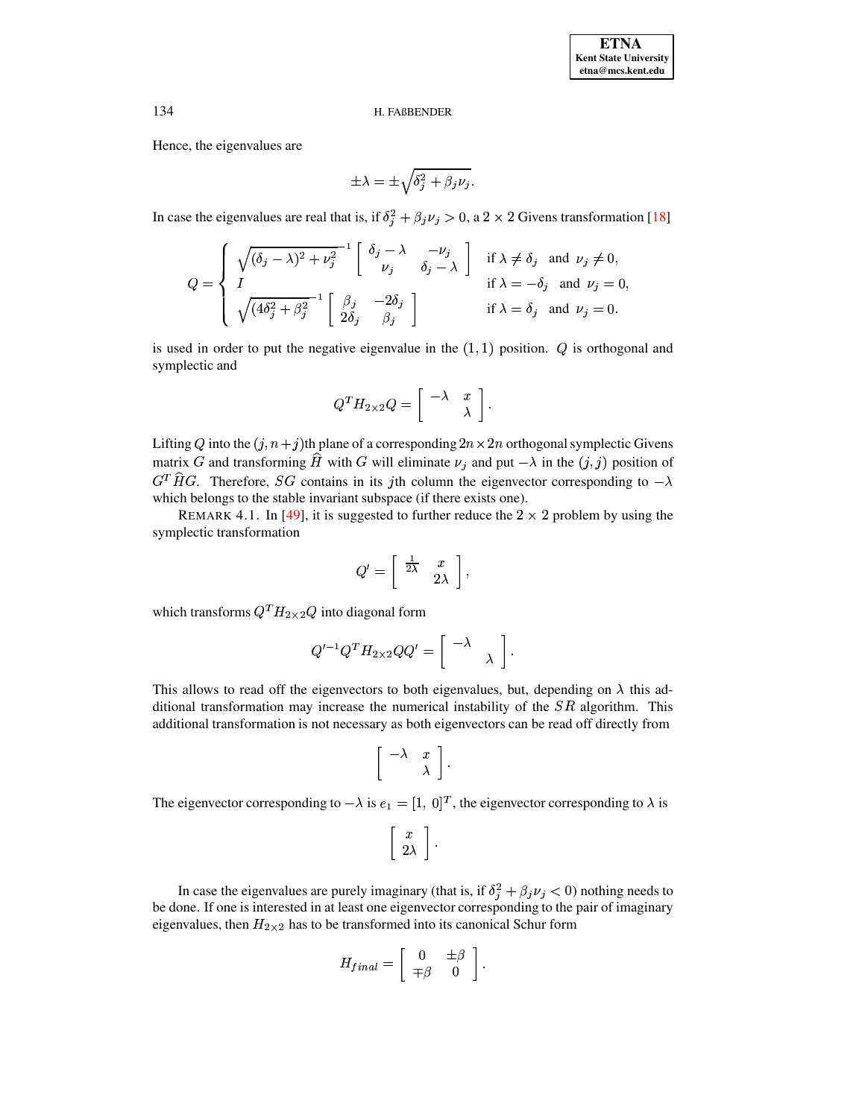Hence, the eigenvalues are

$$
\pm \lambda = \pm \sqrt{\delta_j^2 + \beta_j \nu_j}.
$$

In case the eigenvalues are real that is, if  $\delta_j^2 + \beta_j \nu_j > 0$ , a 2 × 2 Givens transformation [18]

$$
Q = \begin{cases} \sqrt{(\delta_j - \lambda)^2 + \nu_j^2}^{-1} \begin{bmatrix} \delta_j - \lambda & -\nu_j \\ \nu_j & \delta_j - \lambda \end{bmatrix} & \text{if } \lambda \neq \delta_j \text{ and } \nu_j \neq 0, \\ \text{if } \lambda = -\delta_j \text{ and } \nu_j = 0, \\ \sqrt{(4\delta_j^2 + \beta_j^2)}^{-1} \begin{bmatrix} \beta_j & -2\delta_j \\ 2\delta_j & \beta_j \end{bmatrix} & \text{if } \lambda = \delta_j \text{ and } \nu_j = 0. \end{cases}
$$

is used in order to put the negative eigenvalue in the  $(1, 1)$  position.  $Q$  is orthogonal and symplectic and

$$
Q^T H_{2\times 2} Q = \left[ \begin{array}{rr} -\lambda & x \\ & \lambda \end{array} \right]
$$

Lifting Q into the  $(j, n + j)$ th plane of a corresponding  $2n \times 2n$  orthogonal symplectic Givens matrix G and transforming  $\hat{H}$  with G will eliminate  $\nu_j$  and put  $-\lambda$  in the  $(j, j)$  position of  $G^T \hat{H} G$ . Therefore, SG contains in its jth column the eigenvector corresponding to  $-\lambda$ which belongs to the stable invariant subspace (if there exists one).

<span id="page-13-0"></span>REMARK 4.1. In [49], it is suggested to further reduce the  $2 \times 2$  problem by using the symplectic transformation

$$
Q'=\left[\begin{array}{cc} \frac{1}{2\lambda} & x \\ & 2\lambda \end{array}\right],
$$

which transforms  $Q^T H_{2\times 2} Q$  into diagonal form

$$
Q'^{-1}Q^T H_{2\times 2}QQ' = \begin{bmatrix} -\lambda \\ & \lambda \end{bmatrix}
$$

This allows to read off the eigenvectors to both eigenvalues, but, depending on  $\lambda$  this additional transformation may increase the numerical instability of the  $SR$  algorithm. This additional transformation is not necessary as both eigenvectors can be read off directly from

$$
\left[\begin{array}{cc} -\lambda & x \\ & \lambda \end{array}\right]
$$

The eigenvector corresponding to  $-\lambda$  is  $e_1 = [1, 0]^T$ , the eigenvector corresponding to  $\lambda$  is

$$
\left[\begin{array}{c}x\\2\lambda\end{array}\right]
$$

In case the eigenvalues are purely imaginary (that is, if  $\delta_j^2 + \beta_j \nu_j < 0$ ) nothing needs to be done. If one is interested in at least one eigenvector corresponding to the pair of imaginary eigenvalues, then  $H_{2\times 2}$  has to be transformed into its canonical Schur form

$$
H_{final} = \left[ \begin{array}{cc} 0 & \pm \beta \\ \mp \beta & 0 \end{array} \right].
$$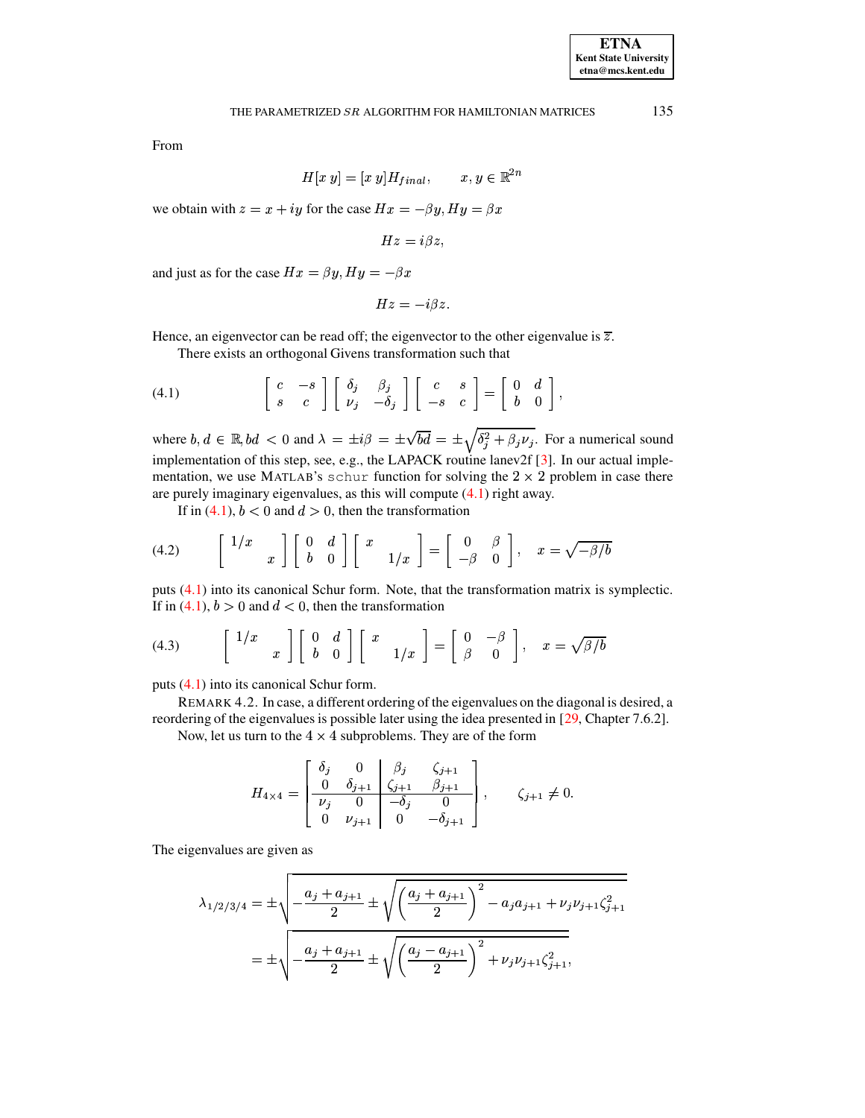135

$$
H[x\ y] = [x\ y]H_{final}, \qquad x, y \in \mathbb{R}^{2n}
$$

we obtain with  $z = x + iy$  for the case  $Hx = -\beta y$ ,  $Hy = \beta x$ 

$$
Hz=i\beta z,
$$

and just as for the case  $Hx = \beta y$ ,  $Hy = -\beta x$ 

$$
Hz=-i\beta z.
$$

Hence, an eigenvector can be read off; the eigenvector to the other eigenvalue is  $\overline{z}$ .

There exists an orthogonal Givens transformation such that

<span id="page-14-0"></span>(4.1) 
$$
\begin{bmatrix} c & -s \\ s & c \end{bmatrix} \begin{bmatrix} \delta_j & \beta_j \\ \nu_j & -\delta_j \end{bmatrix} \begin{bmatrix} c & s \\ -s & c \end{bmatrix} = \begin{bmatrix} 0 & d \\ b & 0 \end{bmatrix},
$$

where  $b, d \in \mathbb{R}$ ,  $bd < 0$  and  $\lambda = \pm i\beta = \pm \sqrt{bd} = \pm \sqrt{\delta_j^2 + \beta_j \nu_j}$ . For a numerical sound implementation of this step, see, e.g., the LAPACK routine lanev2f [3]. In our actual implementation, we use MATLAB's schur function for solving the  $2 \times 2$  problem in case there are purely imaginary eigenvalues, as this will compute  $(4.1)$  right away.

If in (4.1),  $b < 0$  and  $d > 0$ , then the transformation

<span id="page-14-1"></span>
$$
(4.2) \qquad \begin{bmatrix} 1/x \\ x \end{bmatrix} \begin{bmatrix} 0 & d \\ b & 0 \end{bmatrix} \begin{bmatrix} x \\ 1/x \end{bmatrix} = \begin{bmatrix} 0 & \beta \\ -\beta & 0 \end{bmatrix}, \quad x = \sqrt{-\beta/b}
$$

puts  $(4.1)$  into its canonical Schur form. Note, that the transformation matrix is symplectic. If in (4.1),  $b > 0$  and  $d < 0$ , then the transformation

<span id="page-14-2"></span>(4.3) 
$$
\begin{bmatrix} 1/x \\ x \end{bmatrix} \begin{bmatrix} 0 & d \\ b & 0 \end{bmatrix} \begin{bmatrix} x \\ 1/x \end{bmatrix} = \begin{bmatrix} 0 & -\beta \\ \beta & 0 \end{bmatrix}, x = \sqrt{\beta/b}
$$

puts  $(4.1)$  into its canonical Schur form.

REMARK 4.2. In case, a different ordering of the eigenvalues on the diagonal is desired, a reordering of the eigenvalues is possible later using the idea presented in  $[29, Chapter 7.6.2]$ .

Now, let us turn to the  $4 \times 4$  subproblems. They are of the form

$$
H_{4\times 4} = \begin{bmatrix} \delta_j & 0 & \beta_j & \zeta_{j+1} \\ 0 & \delta_{j+1} & \zeta_{j+1} & \beta_{j+1} \\ \hline \nu_j & 0 & -\delta_j & 0 \\ 0 & \nu_{j+1} & 0 & -\delta_{j+1} \end{bmatrix}, \quad \zeta_{j+1} \neq 0.
$$

The eigenvalues are given as

$$
\lambda_{1/2/3/4} = \pm \sqrt{-\frac{a_j + a_{j+1}}{2}} \pm \sqrt{\left(\frac{a_j + a_{j+1}}{2}\right)^2 - a_j a_{j+1} + \nu_j \nu_{j+1} \zeta_{j+1}^2}
$$

$$
= \pm \sqrt{-\frac{a_j + a_{j+1}}{2}} \pm \sqrt{\left(\frac{a_j - a_{j+1}}{2}\right)^2 + \nu_j \nu_{j+1} \zeta_{j+1}^2},
$$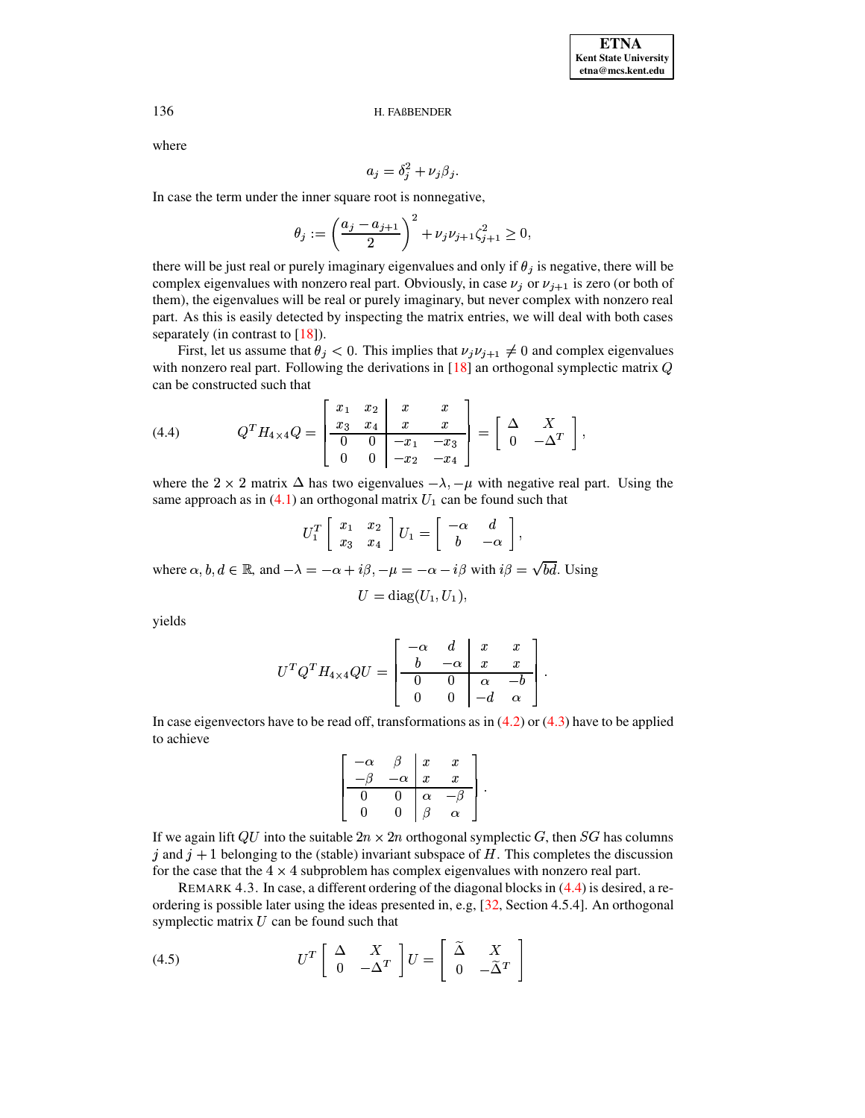where

$$
a_j = \delta_j^2 + \nu_j \beta_j.
$$

In case the term under the inner square root is nonnegative,

$$
\theta_j := \left(\frac{a_j - a_{j+1}}{2}\right)^2 + \nu_j \nu_{j+1} \zeta_{j+1}^2 \ge 0,
$$

there will be just real or purely imaginary eigenvalues and only if  $\theta_j$  is negative, there will be complex eigenvalues with nonzero real part. Obviously, in case  $\nu_j$  or  $\nu_{j+1}$  is zero (or both of them), the eigenvalues will be real or purely imaginary, but never complex with nonzero real part. As this is easily detected by inspecting the matrix entries, we will deal with both cases separately (in contrast to  $[18]$ ).

First, let us assume that  $\theta_j < 0$ . This implies that  $\nu_j \nu_{j+1} \neq 0$  and complex eigenvalues with nonzero real part. Following the derivations in  $[18]$  an orthogonal symplectic matrix  $Q$ can be constructed such that

<span id="page-15-0"></span>
$$
(4.4) \tQT H4×4 Q = \begin{bmatrix} x_1 & x_2 & x & x \\ x_3 & x_4 & x & x \\ 0 & 0 & -x_1 & -x_3 \\ 0 & 0 & -x_2 & -x_4 \end{bmatrix} = \begin{bmatrix} \Delta & X \\ 0 & -\Delta^T \end{bmatrix},
$$

where the 2  $\times$  2 matrix  $\Delta$  has two eigenvalues  $-\lambda$ ,  $-\mu$  with negative real part. Using the same approach as in  $(4.1)$  an orthogonal matrix  $U_1$  can be found such that

$$
U_1^T \left[ \begin{array}{cc} x_1 & x_2 \\ x_3 & x_4 \end{array} \right] U_1 = \left[ \begin{array}{cc} -\alpha & d \\ b & -\alpha \end{array} \right],
$$

where  $\alpha, b, d \in \mathbb{R}$ , and  $-\lambda = -\alpha + i\beta$ ,  $-\mu = -\alpha - i\beta$  with  $i\beta = \sqrt{bd}$ . Using

$$
U = \text{diag}(U_1, U_1)
$$

yields

$$
U^T Q^T H_{4 \times 4} Q U = \left[\begin{array}{cc|cc} -\alpha & d & x & x \\ b & -\alpha & x & x \\ \hline 0 & 0 & \alpha & -b \\ 0 & 0 & -d & \alpha \end{array}\right].
$$

In case eigenvectors have to be read off, transformations as in  $(4.2)$  or  $(4.3)$  have to be applied to achieve

$$
\left[\begin{array}{c|c}\n-\alpha & \beta & x & x \\
-\beta & -\alpha & x & x \\
\hline\n0 & 0 & \alpha & -\beta \\
0 & 0 & \beta & \alpha\n\end{array}\right]
$$

If we again lift QU into the suitable  $2n \times 2n$  orthogonal symplectic G, then SG has columns j and  $j + 1$  belonging to the (stable) invariant subspace of H. This completes the discussion for the case that the  $4 \times 4$  subproblem has complex eigenvalues with nonzero real part.

<span id="page-15-2"></span>REMARK 4.3. In case, a different ordering of the diagonal blocks in  $(4.4)$  is desired, a reordering is possible later using the ideas presented in, e.g.  $[32, \text{Section } 4.5.4]$ . An orthogonal symplectic matrix  $U$  can be found such that

<span id="page-15-1"></span>(4.5) 
$$
U^T \begin{bmatrix} \Delta & X \\ 0 & -\Delta^T \end{bmatrix} U = \begin{bmatrix} \tilde{\Delta} & X \\ 0 & -\tilde{\Delta}^T \end{bmatrix}
$$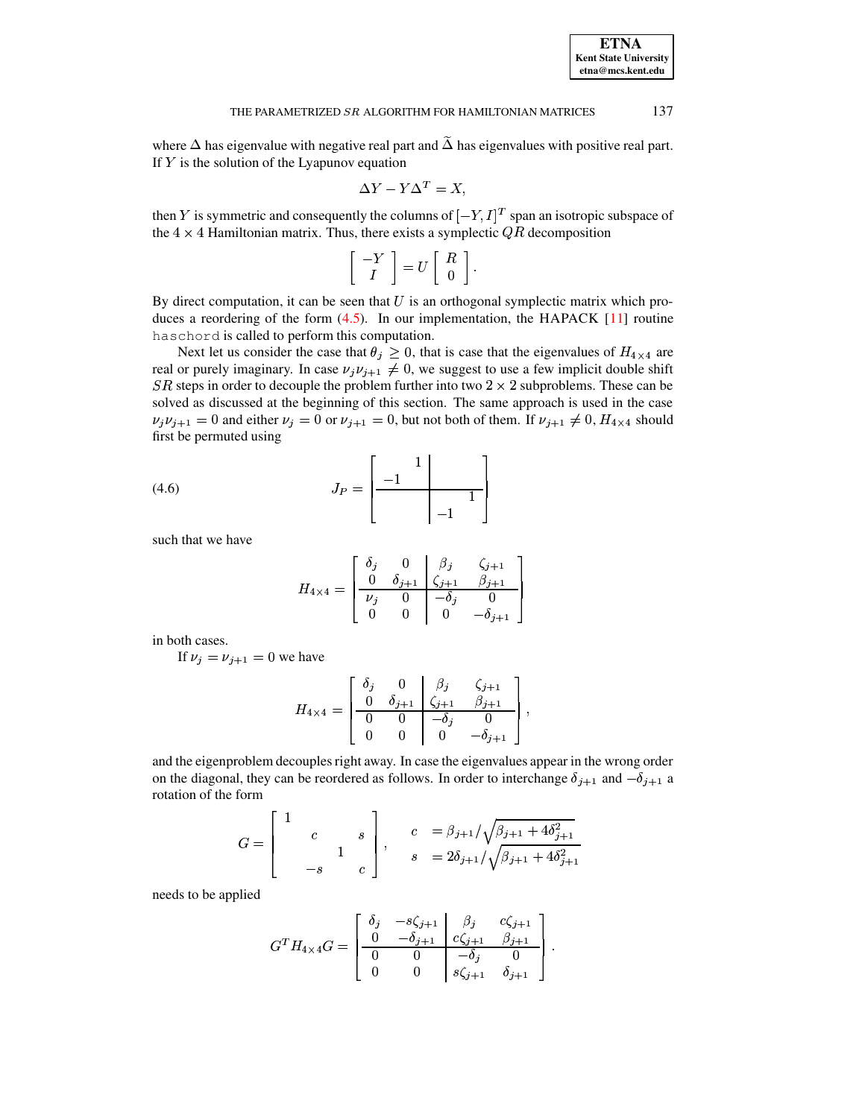where  $\Delta$  has eigenvalue with negative real part and  $\tilde{\Delta}$  has eigenvalues with positive real part. If  $Y$  is the solution of the Lyapunov equation

$$
\Delta Y - Y \Delta^T = X,
$$

then Y is symmetric and consequently the columns of  $[-Y, I]^T$  span an isotropic subspace of the  $4 \times 4$  Hamiltonian matrix. Thus, there exists a symplectic  $QR$  decomposition

$$
\left[\begin{array}{c}-Y\\I\end{array}\right]=U\left[\begin{array}{c}R\\0\end{array}\right].
$$

By direct computation, it can be seen that  $U$  is an orthogonal symplectic matrix which produces a reordering of the form  $(4.5)$ . In our implementation, the HAPACK [\[11\]](#page-23-14) routine haschord is called to perform this computation.

Next let us consider the case that  $\theta_j \geq 0$ , that is case that the eigenvalues of  $H_{4\times 4}$  are real or purely imaginary. In case  $\nu_j \nu_{j+1} \neq 0$ , we suggest to use a few implicit double shift SR steps in order to decouple the problem further into two  $2 \times 2$  subproblems. These can be solved as discussed at the beginning of this section. The same approach is used in the case  $\nu_i \nu_{i+1} = 0$  and either  $\nu_i = 0$  or  $\nu_{i+1} = 0$ , but not both of them. If  $\nu_{i+1} \neq 0$ ,  $H_{4\times 4}$  should first be permuted using

:;

<sup>56</sup>

<span id="page-16-0"></span>
$$
(4.6) \t\t J_P = \begin{bmatrix} 1 \\ -1 \\ -1 \end{bmatrix}
$$

such that we have

$$
H_{4 \times 4} = \begin{bmatrix} \delta_j & 0 & \beta_j & \zeta_{j+1} \\ 0 & \delta_{j+1} & \zeta_{j+1} & \beta_{j+1} \\ \hline \nu_j & 0 & -\delta_j & 0 \\ 0 & 0 & 0 & -\delta_{j+1} \end{bmatrix}
$$

in both cases.

If  $\nu_i = \nu_{i+1} = 0$  we have

$$
H_{4\times 4} = \left[\begin{array}{cccc} \delta_j & 0 & \beta_j & \zeta_{j+1} \\ 0 & \delta_{j+1} & \zeta_{j+1} & \beta_{j+1} \\ \hline 0 & 0 & -\delta_j & 0 \\ 0 & 0 & 0 & -\delta_{j+1} \end{array}\right],
$$

and the eigenproblem decouples right away. In case the eigenvalues appear in the wrong order on the diagonal, they can be reordered as follows. In order to interchange  $\delta_{j+1}$  and  $-\delta_{j+1}$  a rotation of the form

$$
G = \begin{bmatrix} 1 & & & \\ & c & & s \\ & & 1 & \\ & & -s & & c \end{bmatrix}, \qquad c = \beta_{j+1} / \sqrt{\beta_{j+1} + 4\delta_{j+1}^2} \ns = 2\delta_{j+1} / \sqrt{\beta_{j+1} + 4\delta_{j+1}^2}
$$

needs to be applied

$$
G^{T}H_{4\times 4}G = \begin{bmatrix} \delta_{j} & -s\zeta_{j+1} & \beta_{j} & c\zeta_{j+1} \\ 0 & -\delta_{j+1} & c\zeta_{j+1} & \beta_{j+1} \\ 0 & 0 & -\delta_{j} & 0 \\ 0 & 0 & s\zeta_{j+1} & \delta_{j+1} \end{bmatrix}.
$$

**ETNA Kent State University etna@mcs.kent.edu**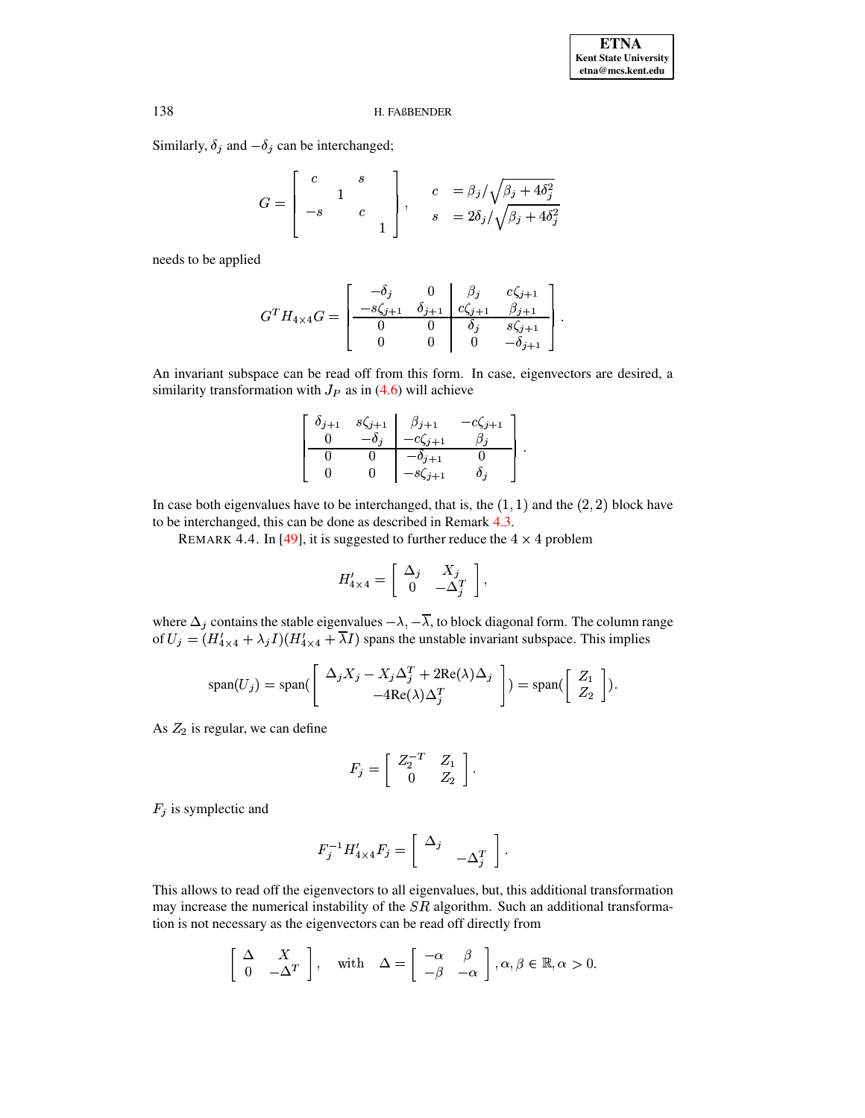Similarly,  $\delta_j$  and  $-\delta_j$  can be interchanged;

$$
G = \begin{bmatrix} c & s \\ -s & c \\ 1 & 0 \end{bmatrix}, \qquad \begin{array}{c} c & = \frac{\beta_j}{\sqrt{\beta_j + 4\delta_j^2}} \\ s & = 2\delta_j/\sqrt{\beta_j + 4\delta_j^2} \end{array}
$$

needs to be applied

$$
G^{T}H_{4\times 4}G = \begin{bmatrix} -\delta_{j} & 0 & \beta_{j} & c\zeta_{j+1} \\ -s\zeta_{j+1} & \delta_{j+1} & c\zeta_{j+1} & \beta_{j+1} \\ 0 & 0 & \delta_{j} & s\zeta_{j+1} \\ 0 & 0 & 0 & -\delta_{j+1} \end{bmatrix}.
$$

An invariant subspace can be read off from this form. In case, eigenvectors are desired, a similarity transformation with  $J_P$  as in (4.6) will achieve

$$
\begin{bmatrix}\n\delta_{j+1} & s\zeta_{j+1} & \beta_{j+1} & -c\zeta_{j+1} \\
0 & -\delta_j & -c\zeta_{j+1} & \beta_j \\
0 & 0 & -\delta_{j+1} & 0 \\
0 & 0 & -s\zeta_{j+1} & \delta_j\n\end{bmatrix}
$$

<span id="page-17-0"></span>In case both eigenvalues have to be interchanged, that is, the  $(1, 1)$  and the  $(2, 2)$  block have to be interchanged, this can be done as described in Remark 4.3.

REMARK 4.4. In [49], it is suggested to further reduce the  $4 \times 4$  problem

$$
H'_{4\times 4} = \left[ \begin{array}{cc} \Delta_j & X_j \\ 0 & -\Delta_j^T \end{array} \right],
$$

where  $\Delta_j$  contains the stable eigenvalues  $-\lambda$ ,  $-\overline{\lambda}$ , to block diagonal form. The column range of  $U_j = (H'_{4 \times 4} + \lambda_j I)(H'_{4 \times 4} + \overline{\lambda}I)$  spans the unstable invariant subspace. This implies

$$
\text{span}(U_j) = \text{span}\left(\begin{bmatrix} \Delta_j X_j - X_j \Delta_j^T + 2\text{Re}(\lambda) \Delta_j \\ -4\text{Re}(\lambda) \Delta_j^T \end{bmatrix}\right) = \text{span}\left(\begin{bmatrix} Z_1 \\ Z_2 \end{bmatrix}\right).
$$

As  $Z_2$  is regular, we can define

$$
F_j = \left[ \begin{array}{cc} Z_2^{-T} & Z_1 \\ 0 & Z_2 \end{array} \right].
$$

 $F_j$  is symplectic and

$$
F_j^{-1}H'_{4\times 4}F_j=\left[\begin{array}{cc} \Delta_j & \\ & -\Delta_j^T\end{array}\right].
$$

This allows to read off the eigenvectors to all eigenvalues, but, this additional transformation may increase the numerical instability of the  $SR$  algorithm. Such an additional transformation is not necessary as the eigenvectors can be read off directly from

$$
\left[\begin{array}{cc} \Delta & X \\ 0 & -\Delta^T \end{array}\right], \quad \text{with} \quad \Delta = \left[\begin{array}{cc} -\alpha & \beta \\ -\beta & -\alpha \end{array}\right], \alpha, \beta \in \mathbb{R}, \alpha > 0.
$$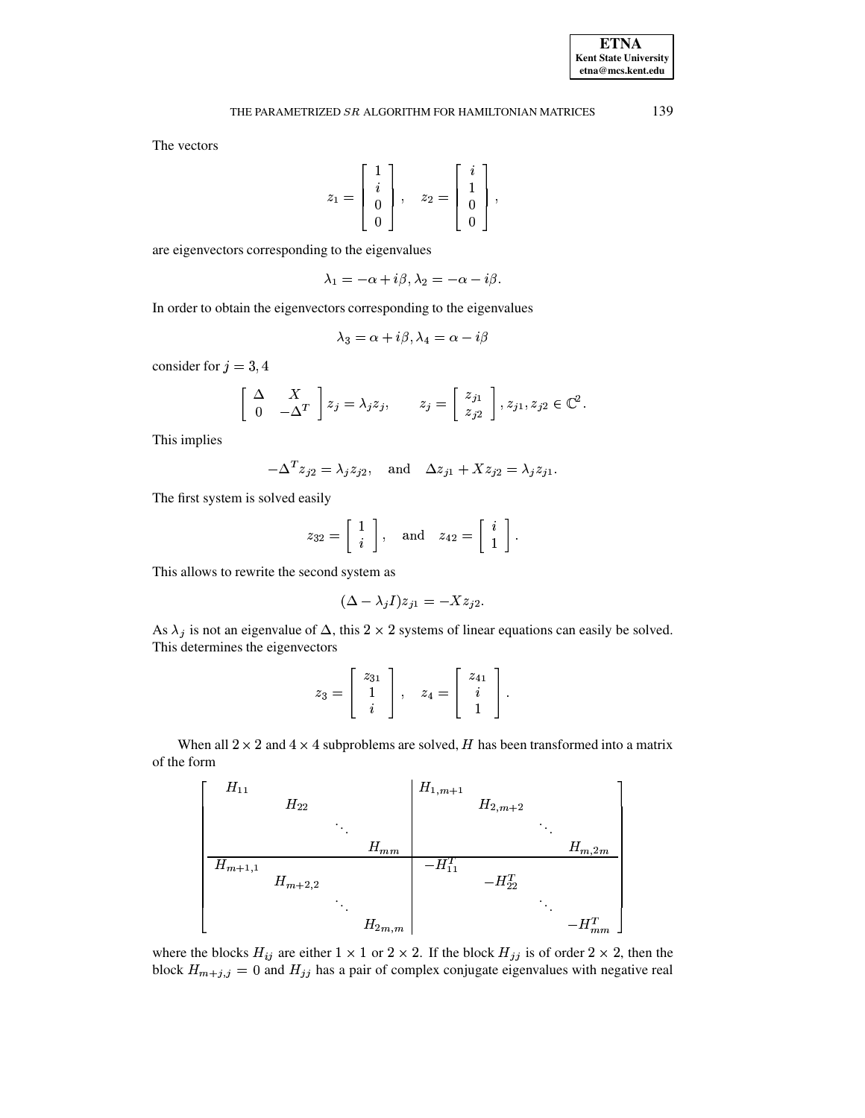The vectors

$$
z_1 = \left[\begin{array}{c}1\\i\\0\\0\end{array}\right], \quad z_2 = \left[\begin{array}{c}i\\1\\0\\0\end{array}\right]
$$

are eigenvectors corresponding to the eigenvalues

$$
\lambda_1=-\alpha+i\beta, \lambda_2=-\alpha-i\beta.
$$

In order to obtain the eigenvectors corresponding to the eigenvalues

$$
\lambda_3 = \alpha + i\beta, \lambda_4 = \alpha - i\beta
$$

consider for  $j = 3, 4$ 

$$
\left[\begin{array}{cc} \Delta & X \\ 0 & -\Delta^T \end{array}\right] z_j = \lambda_j z_j, \qquad z_j = \left[\begin{array}{c} z_{j1} \\ z_{j2} \end{array}\right], z_{j1}, z_{j2} \in \mathbb{C}^2.
$$

This implies

$$
-\Delta^T z_{j2} = \lambda_j z_{j2}, \quad \text{and} \quad \Delta z_{j1} + X z_{j2} = \lambda_j z_{j1}
$$

The first system is solved easily

$$
z_{32} = \left[ \begin{array}{c} 1 \\ i \end{array} \right], \quad \text{and} \quad z_{42} = \left[ \begin{array}{c} i \\ 1 \end{array} \right].
$$

This allows to rewrite the second system as

$$
(\Delta - \lambda_j I)z_{j1} = -Xz_{j2}
$$

As  $\lambda_j$  is not an eigenvalue of  $\Delta$ , this 2 × 2 systems of linear equations can easily be solved. This determines the eigenvectors

$$
z_3 = \left[\begin{array}{c} z_{31} \\ 1 \\ i \end{array}\right], \quad z_4 = \left[\begin{array}{c} z_{41} \\ i \\ 1 \end{array}\right].
$$

When all  $2 \times 2$  and  $4 \times 4$  subproblems are solved, H has been transformed into a matrix of the form



where the blocks  $H_{ij}$  are either  $1 \times 1$  or  $2 \times 2$ . If the block  $H_{jj}$  is of order  $2 \times 2$ , then the block  $H_{m+j,j} = 0$  and  $H_{jj}$  has a pair of complex conjugate eigenvalues with negative real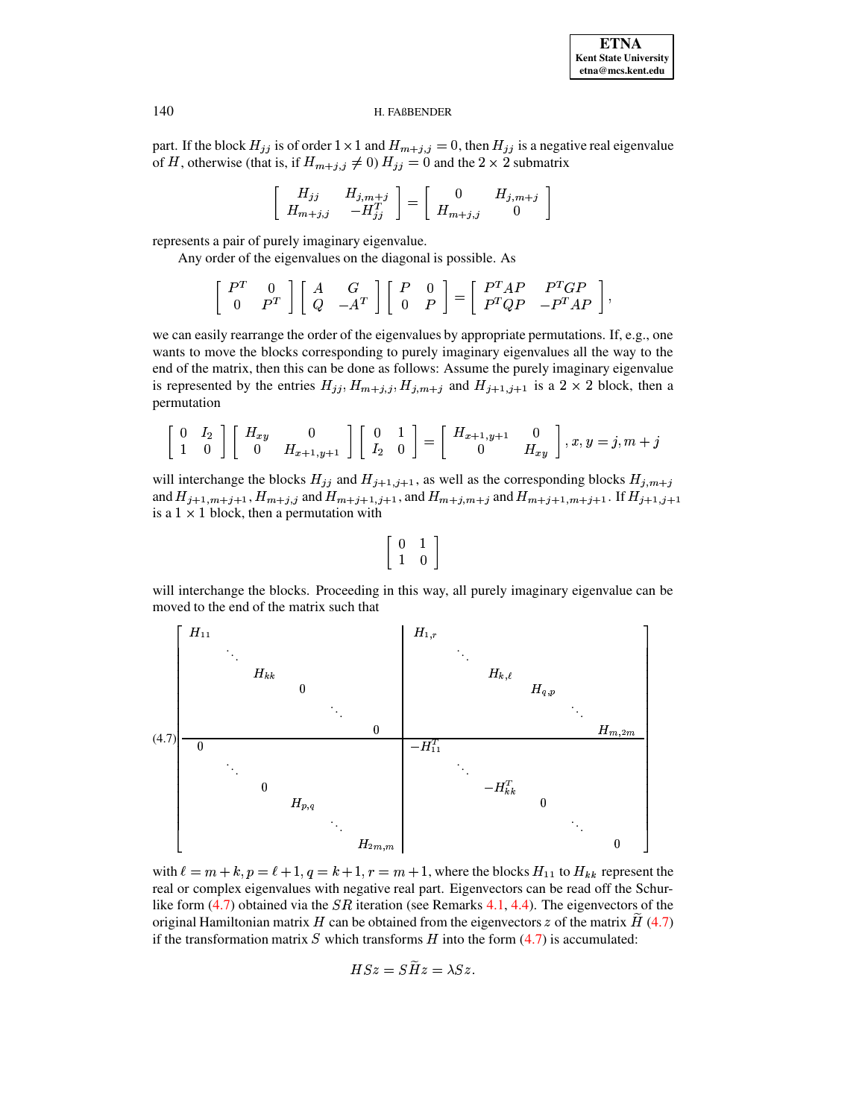

part. If the block  $H_{ij}$  is of order  $1 \times 1$  and  $H_{m+j, j} = 0$ , then  $H_{ij}$  is a negative real eigenvalue of H, otherwise (that is, if  $H_{m+j, j} \neq 0$ )  $H_{jj} = 0$  and the  $2 \times 2$  submatrix

$$
\left[\begin{array}{cc}H_{jj}&H_{j,m+j}\\H_{m+j,j}&-H_{jj}^T\end{array}\right]=\left[\begin{array}{cc}0&H_{j,m+j}\\H_{m+j,j}&0\end{array}\right]
$$

represents a pair of purely imaginary eigenvalue.

Any order of the eigenvalues on the diagonal is possible. As

$$
\left[\begin{array}{cc} P^T & 0 \\ 0 & P^T \end{array}\right] \left[\begin{array}{cc} A & G \\ Q & -A^T \end{array}\right] \left[\begin{array}{cc} P & 0 \\ 0 & P \end{array}\right] = \left[\begin{array}{cc} P^TAP & P^TGP \\ P^TQP & -P^TAP \end{array}\right],
$$

we can easily rearrange the order of the eigenvalues by appropriate permutations. If, e.g., one wants to move the blocks corresponding to purely imaginary eigenvalues all the way to the end of the matrix, then this can be done as follows: Assume the purely imaginary eigenvalue is represented by the entries  $H_{jj}, H_{m+j,j}, H_{j,m+j}$  and  $H_{j+1,j+1}$  is a  $2 \times 2$  block, then a permutation

$$
\left[\begin{array}{cc}0 & I_2 \\1 & 0\end{array}\right]\left[\begin{array}{cc}H_{xy} & 0 \\0 & H_{x+1,y+1}\end{array}\right]\left[\begin{array}{cc}0 & 1 \\I_2 & 0\end{array}\right]=\left[\begin{array}{cc}H_{x+1,y+1} & 0 \\0 & H_{xy}\end{array}\right], x,y=j,m+j
$$

will interchange the blocks  $H_{ij}$  and  $H_{j+1,j+1}$ , as well as the corresponding blocks  $H_{j,m+j}$ and  $H_{i+1,m+j+1}$ ,  $H_{m+j,j}$  and  $H_{m+j+1,j+1}$ , and  $H_{m+j,m+j}$  and  $H_{m+j+1,m+j+1}$ . If  $H_{i+1,j+1}$ is a  $1 \times 1$  block, then a permutation with

$$
\left[\begin{array}{cc} 0 & 1 \\ 1 & 0 \end{array}\right]
$$

will interchange the blocks. Proceeding in this way, all purely imaginary eigenvalue can be moved to the end of the matrix such that

<span id="page-19-0"></span>

with  $\ell = m + k$ ,  $p = \ell + 1$ ,  $q = k + 1$ ,  $r = m + 1$ , where the blocks  $H_{11}$  to  $H_{kk}$  represent the real or complex eigenvalues with negative real part. Eigenvectors can be read off the Schurlike form  $(4.7)$  obtained via the *SR* iteration (see Remarks [4.1,](#page-13-0) [4.4\)](#page-17-0). The eigenvectors of the original Hamiltonian matrix H can be obtained from the eigenvectors z of the matrix H  $(4.7)$ if the transformation matrix S which transforms H into the form  $(4.7)$  is accumulated:

$$
HSz = SHz = \lambda Sz.
$$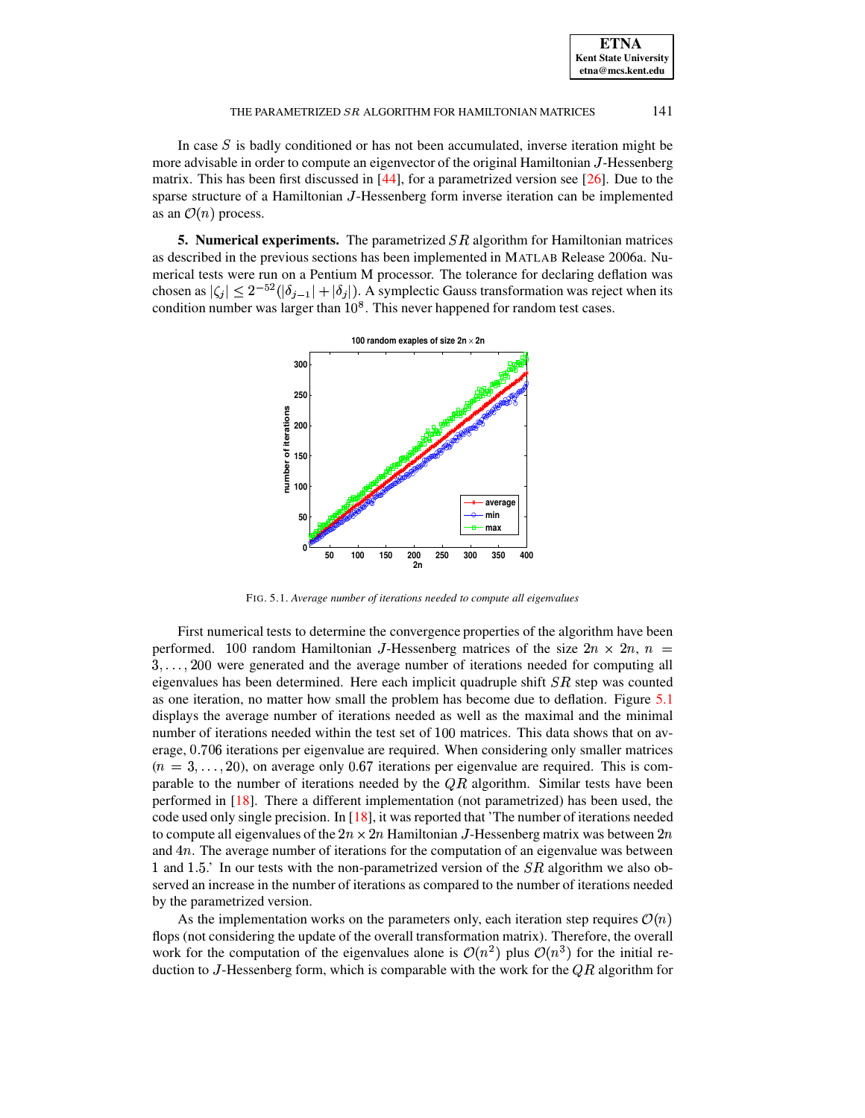In case  $S$  is badly conditioned or has not been accumulated, inverse iteration might be more advisable in order to compute an eigenvector of the original Hamiltonian J-Hessenberg matrix. This has been first discussed in [\[44\]](#page-24-29), for a parametrized version see [\[26\]](#page-24-27). Due to the sparse structure of a Hamiltonian <sup>1</sup>-Hessenberg form inverse iteration can be implemented as an  $\mathcal{O}(n)$  process.

**5. Numerical experiments.** The parametrized SR algorithm for Hamiltonian matrices as described in the previous sections has been implemented in MATLAB Release 2006a. Numerical tests were run on a Pentium M processor. The tolerance for declaring deflation was chosen as  $|\zeta_i| \leq 2^{-52}(|\delta_{i-1}| + |\delta_i|)$ . A symplectic Gauss transformation was reject when its condition number was larger than  $10^8$ . This never happened for random test cases.



FIG. 5.1. *Average number of iterations needed to compute all eigenvalues*

<span id="page-20-0"></span>First numerical tests to determine the convergence properties of the algorithm have been performed. 100 random Hamiltonian J-Hessenberg matrices of the size  $2n \times 2n$ ,  $n =$  $3, \ldots, 200$  were generated and the average number of iterations needed for computing all eigenvalues has been determined. Here each implicit quadruple shift  $SR$  step was counted as one iteration, no matter how small the problem has become due to deflation. Figure [5.1](#page-20-0) displays the average number of iterations needed as well as the maximal and the minimal number of iterations needed within the test set of 100 matrices. This data shows that on average, 0.706 iterations per eigenvalue are required. When considering only smaller matrices  $(n = 3, \ldots, 20)$ , on average only 0.67 iterations per eigenvalue are required. This is comparable to the number of iterations needed by the  $QR$  algorithm. Similar tests have been performed in [\[18\]](#page-23-2). There a different implementation (not parametrized) has been used, the code used only single precision. In [\[18\]](#page-23-2), it was reported that 'The number of iterations needed to compute all eigenvalues of the  $2n \times 2n$  Hamiltonian J-Hessenberg matrix was between  $2n$ and  $4n$ . The average number of iterations for the computation of an eigenvalue was between 1 and 1.5.' In our tests with the non-parametrized version of the  $SR$  algorithm we also observed an increase in the number of iterations as compared to the number of iterations needed by the parametrized version.

As the implementation works on the parameters only, each iteration step requires  $\mathcal{O}(n)$ flops (not considering the update of the overall transformation matrix). Therefore, the overall work for the computation of the eigenvalues alone is  $\mathcal{O}(n^2)$  plus  $\mathcal{O}(n^3)$  for the initial reduction to J-Hessenberg form, which is comparable with the work for the  $\overline{QR}$  algorithm for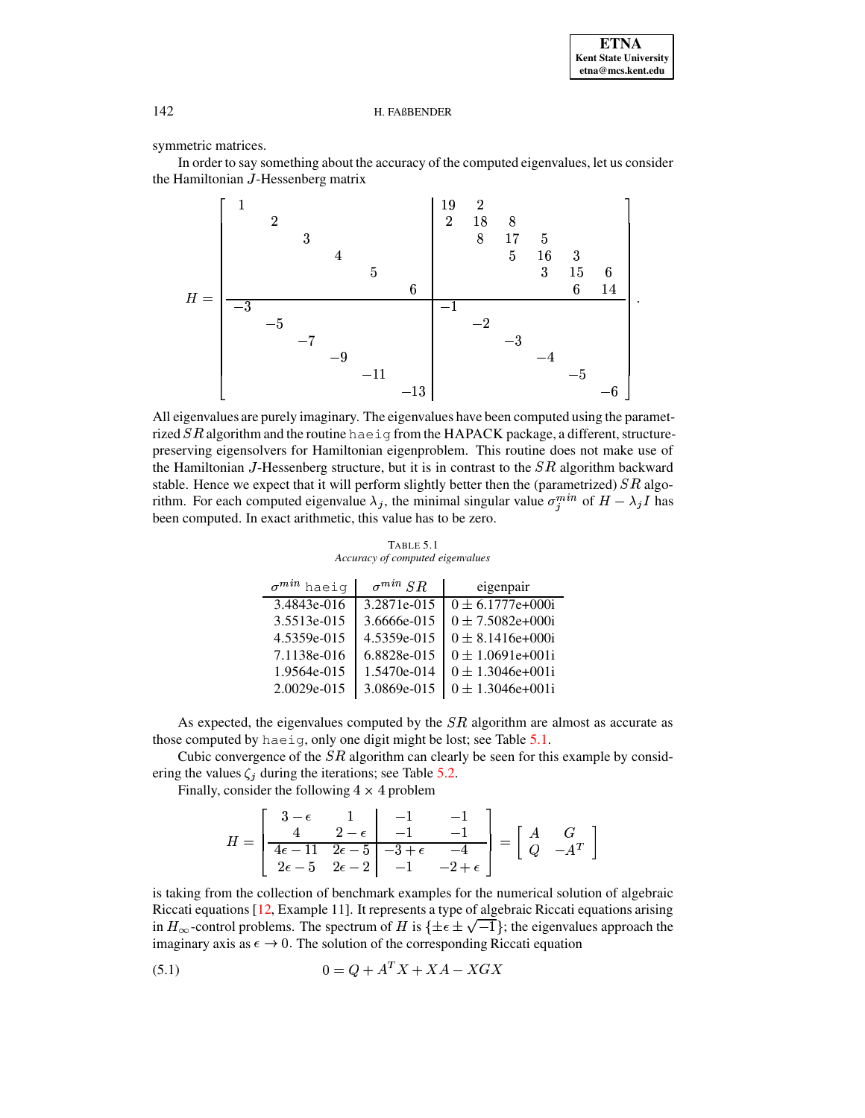symmetric matrices.

In order to say something about the accuracy of the computed eigenvalues, let us consider the Hamiltonian J-Hessenberg matrix



All eigenvalues are purely imaginary. The eigenvalues have been computed using the parametrized  $SR$  algorithm and the routine haeig from the HAPACK package, a different, structurepreserving eigensolvers for Hamiltonian eigenproblem. This routine does not make use of the Hamiltonian  $J$ -Hessenberg structure, but it is in contrast to the  $SR$  algorithm backward stable. Hence we expect that it will perform slightly better then the (parametrized)  $SR$  algorithm. For each computed eigenvalue  $\lambda_j$ , the minimal singular value  $\sigma_j^{min}$  of  $H - \lambda_j I$  has been computed. In exact arithmetic, this value has to be zero.

TABLE 5.1 Accuracy of computed eigenvalues

<span id="page-21-0"></span>

| $\sigma^{min}$ haeig | SR<br>$\sigma^{min}$ | eigenpair                        |
|----------------------|----------------------|----------------------------------|
| $3.4843e-016$        | 3.2871e-015          | $\overline{0 \pm 6.1777}$ e+000i |
| 3.5513e-015          | 3.6666e-015          | $0 \pm 7.5082e+000i$             |
| 4.5359e-015          | 4.5359e-015          | $0 \pm 8.1416e+000i$             |
| 7.1138e-016          | 6.8828e-015          | $0 \pm 1.0691e+001i$             |
| 1.9564e-015          | 1.5470e-014          | $0 \pm 1.3046e+001i$             |
| 2.0029e-015          | 3.0869e-015          | $0 \pm 1.3046$ e+001i            |

As expected, the eigenvalues computed by the  $SR$  algorithm are almost as accurate as those computed by haeig, only one digit might be lost; see Table 5.1.

Cubic convergence of the  $SR$  algorithm can clearly be seen for this example by considering the values  $\zeta_i$  during the iterations; see Table 5.2.

Finally, consider the following  $4 \times 4$  problem

$$
H = \begin{bmatrix} 3 - \epsilon & 1 & -1 & -1 \\ 4 & 2 - \epsilon & -1 & -1 \\ \hline 4\epsilon - 11 & 2\epsilon - 5 & -3 + \epsilon & -4 \\ 2\epsilon - 5 & 2\epsilon - 2 & -1 & -2 + \epsilon \end{bmatrix} = \begin{bmatrix} A & G \\ Q & -A^T \end{bmatrix}
$$

is taking from the collection of benchmark examples for the numerical solution of algebraic Riccati equations [12, Example 11]. It represents a type of algebraic Riccati equations arising in  $H_{\infty}$ -control problems. The spectrum of H is  $\{\pm \epsilon \pm \sqrt{-1}\}\;$ ; the eigenvalues approach the imaginary axis as  $\epsilon \to 0$ . The solution of the corresponding Riccati equation

<span id="page-21-1"></span>
$$
(5.1) \qquad \qquad 0 = Q + A^T X + X A - X G X
$$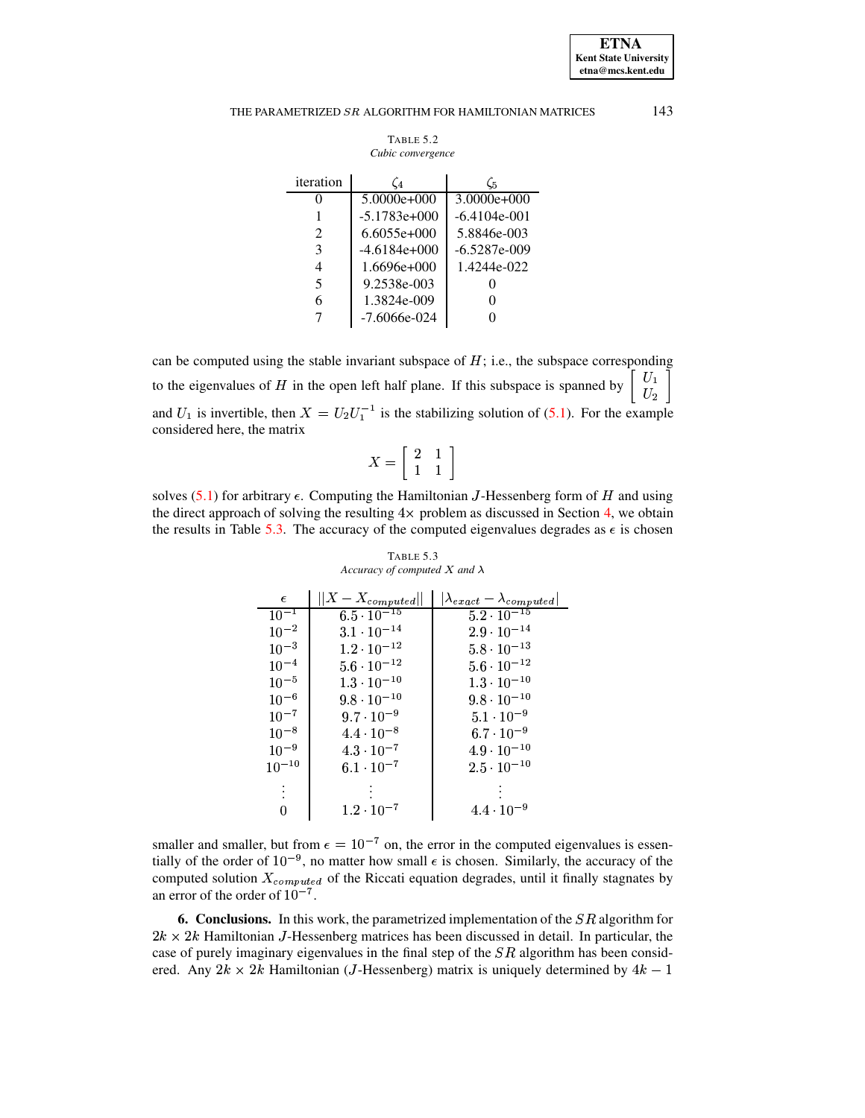**ETNA Kent State University etna@mcs.kent.edu**

## THE PARAMETRIZED  $SR$  ALGORITHM FOR HAMILTONIAN MATRICES  $143$

| TABLE 5.2         |
|-------------------|
| Cubic convergence |

<span id="page-22-0"></span>

| iteration                   | (4             | C5             |
|-----------------------------|----------------|----------------|
|                             | $5.0000e+000$  | $3.0000e+000$  |
|                             | $-5.1783e+000$ | $-6.4104e-001$ |
| $\mathcal{D}_{\mathcal{L}}$ | $6.6055e+000$  | 5.8846e-003    |
| 3                           | $-4.6184e+000$ | $-6.5287e-009$ |
| 4                           | $1.6696e+000$  | 1.4244e-022    |
| 5                           | 9.2538e-003    |                |
| 6                           | 1.3824e-009    |                |
|                             | $-7.6066e-024$ |                |

can be computed using the stable invariant subspace of  $H$ ; i.e., the subspace corresponding to the eigenvalues of H in the open left half plane. If this subspace is spanned by  $\begin{bmatrix} 0 & 1 \ 0 & 1 \end{bmatrix}$  $\mid \ U_2 \mid$ and  $U_1$  is invertible, then  $X = U_2 U_1^{-1}$  is the stabilizing solution of [\(5.1\)](#page-21-1). For the example contract the contract of the contract of the contract of the contract of the contract of considered here, the matrix

$$
X=\left[\begin{array}{cc} 2 & 1 \\ 1 & 1 \end{array}\right]
$$

solves [\(5.1\)](#page-21-1) for arbitrary  $\epsilon$ . Computing the Hamiltonian *J*-Hessenberg form of H and using the direct approach of solving the resulting  $4 \times$  problem as discussed in Section [4,](#page-12-0) we obtain the results in Table [5.3.](#page-22-1) The accuracy of the computed eigenvalues degrades as  $\epsilon$  is chosen

<span id="page-22-1"></span>

| $\epsilon$ | $  X-X_{computed}  $            | $ \lambda_{exact} - \lambda_{computed} $ |
|------------|---------------------------------|------------------------------------------|
| $10^{-1}$  | $6.5 \cdot \overline{10^{-15}}$ | $5.2 \cdot 10^{-15}$                     |
| $10^{-2}$  | $3.1 \cdot 10^{-14}$            | $2.9 \cdot 10^{-14}$                     |
| $10^{-3}$  | $1.2 \cdot 10^{-12}$            | $5.8 \cdot 10^{-13}$                     |
| $10^{-4}$  | $5.6 \cdot 10^{-12}$            | $5.6 \cdot 10^{-12}$                     |
| $10^{-5}$  | $1.3 \cdot 10^{-10}$            | $1.3 \cdot 10^{-10}$                     |
| $10^{-6}$  | $9.8 \cdot 10^{-10}$            | $9.8 \cdot 10^{-10}$                     |
| $10^{-7}$  | $9.7 \cdot 10^{-9}$             | $5.1 \cdot 10^{-9}$                      |
| $10^{-8}$  | $4.4 \cdot 10^{-8}$             | $6.7 \cdot 10^{-9}$                      |
| $10^{-9}$  | $4.3 \cdot 10^{-7}$             | $4.9 \cdot 10^{-10}$                     |
| $10^{-10}$ | $6.1 \cdot 10^{-7}$             | $2.5 \cdot 10^{-10}$                     |
|            |                                 |                                          |
|            |                                 |                                          |
|            | $1.2 \cdot 10^{-7}$             | $4.4 \cdot 10^{-9}$                      |

# TABLE 5.3 *Accuracy of computed*  $X$  *and*  $\lambda$

smaller and smaller, but from  $\epsilon = 10^{-7}$  on, the error in the computed eigenvalues is essentially of the order of  $10^{-9}$ , no matter how small  $\epsilon$  is chosen. Similarly, the accuracy of the computed solution  $X_{computed}$  of the Riccati equation degrades, until it finally stagnates by an error of the order of  $10^{-7}$ .

**6. Conclusions.** In this work, the parametrized implementation of the SR algorithm for  $2k \times 2k$  Hamiltonian J-Hessenberg matrices has been discussed in detail. In particular, the case of purely imaginary eigenvalues in the final step of the  $SR$  algorithm has been considered. Any  $2k \times 2k$  Hamiltonian (*J*-Hessenberg) matrix is uniquely determined by  $4k - 1$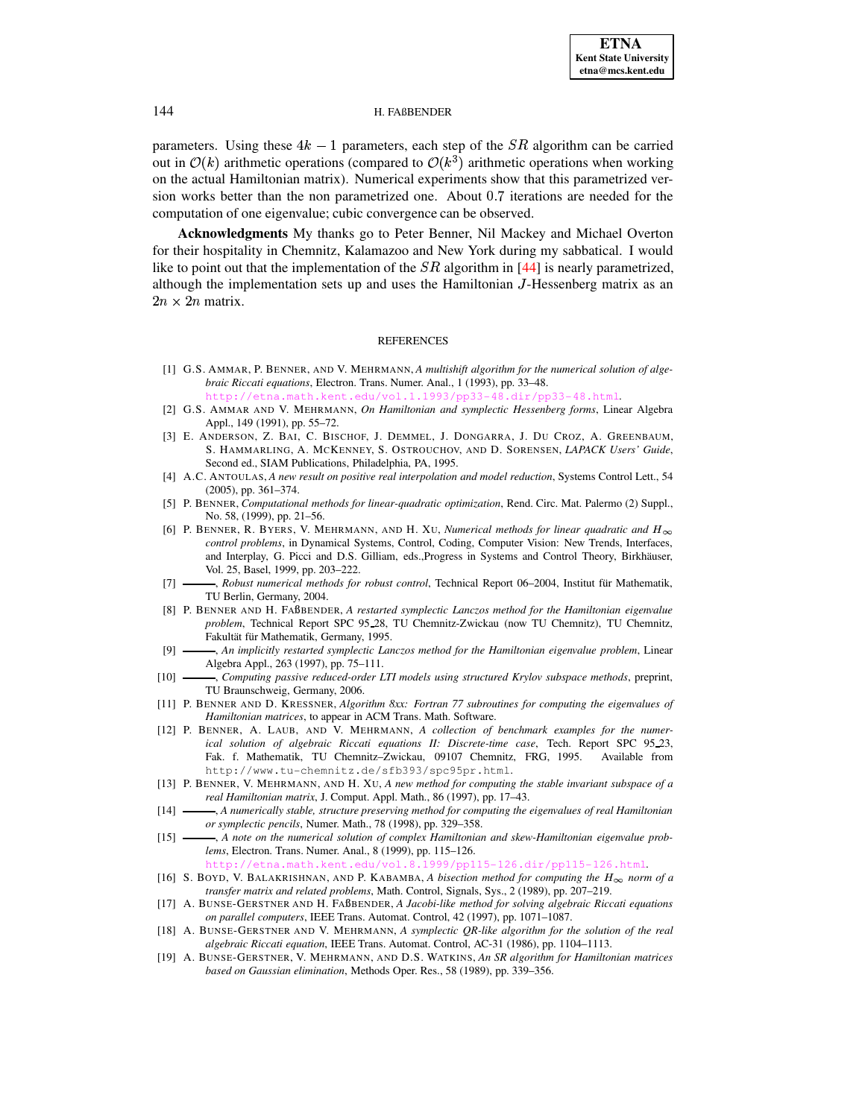parameters. Using these  $4k - 1$  parameters, each step of the SR algorithm can be carried out in  $\mathcal{O}(k)$  arithmetic operations (compared to  $\mathcal{O}(k^3)$  arithmetic operations when working on the actual Hamiltonian matrix). Numerical experiments show that this parametrized version works better than the non parametrized one. About  $0.7$  iterations are needed for the computation of one eigenvalue; cubic convergence can be observed.

**Acknowledgments** My thanks go to Peter Benner, Nil Mackey and Michael Overton for their hospitality in Chemnitz, Kalamazoo and New York during my sabbatical. I would like to point out that the implementation of the  $SR$  algorithm in [\[44\]](#page-24-29) is nearly parametrized, although the implementation sets up and uses the Hamiltonian <sup>1</sup>-Hessenberg matrix as an  $2n \times 2n$  matrix.

#### REFERENCES

- <span id="page-23-8"></span>[1] G.S. AMMAR, P. BENNER, AND V. MEHRMANN, *A multishift algorithm for the numerical solution of algebraic Riccati equations*, Electron. Trans. Numer. Anal., 1 (1993), pp. 33–48. <http://etna.math.kent.edu/vol.1.1993/pp33-48.dir/pp33-48.html>.
- [2] G.S. AMMAR AND V. MEHRMANN, *On Hamiltonian and symplectic Hessenberg forms*, Linear Algebra
- <span id="page-23-17"></span><span id="page-23-9"></span>Appl., 149 (1991), pp. 55–72. [3] E. ANDERSON, Z. BAI, C. BISCHOF, J. DEMMEL, J. DONGARRA, J. DU CROZ, A. GREENBAUM,
- S. HAMMARLING, A. MCKENNEY, S. OSTROUCHOV, AND D. SORENSEN, *LAPACK Users' Guide*, Second ed., SIAM Publications, Philadelphia, PA, 1995.
- <span id="page-23-7"></span>[4] A.C. ANTOULAS, *A new result on positive real interpolation and model reduction*, Systems Control Lett., 54 (2005), pp. 361–374.
- <span id="page-23-4"></span>[5] P. BENNER, *Computational methods for linear-quadratic optimization*, Rend. Circ. Mat. Palermo (2) Suppl., No. 58, (1999), pp. 21–56.
- <span id="page-23-5"></span>[6] P. BENNER, R. BYERS, V. MEHRMANN, AND H. XU, *Numerical methods for linear quadratic and*  $H_{\infty}$ *control problems*, in Dynamical Systems, Control, Coding, Computer Vision: New Trends, Interfaces, and Interplay, G. Picci and D.S. Gilliam, eds., Progress in Systems and Control Theory, Birkhäuser, Vol. 25, Basel, 1999, pp. 203–222.
- <span id="page-23-6"></span>[7] - Robust numerical methods for robust control, Technical Report 06–2004, Institut für Mathematik, TU Berlin, Germany, 2004.
- <span id="page-23-16"></span>[8] P. BENNER AND H. FABENDER, *A restarted symplectic Lanczos method for the Hamiltonian eigenvalue problem*, Technical Report SPC 95 28, TU Chemnitz-Zwickau (now TU Chemnitz), TU Chemnitz, Fakultät für Mathematik, Germany, 1995.
- <span id="page-23-1"></span>[9] , *An implicitly restarted symplectic Lanczos method for the Hamiltonian eigenvalue problem*, Linear Algebra Appl., 263 (1997), pp. 75–111.
- <span id="page-23-0"></span>[10] , *Computing passive reduced-order LTI models using structured Krylov subspace methods*, preprint, TU Braunschweig, Germany, 2006.
- <span id="page-23-14"></span>[11] P. BENNER AND D. KRESSNER, *Algorithm 8xx: Fortran 77 subroutines for computing the eigenvalues of Hamiltonian matrices*, to appear in ACM Trans. Math. Software.
- <span id="page-23-18"></span>[12] P. BENNER, A. LAUB, AND V. MEHRMANN, *A collection of benchmark examples for the numerical solution of algebraic Riccati equations II: Discrete-time case*, Tech. Report SPC 95 23, Fak. f. Mathematik, TU Chemnitz–Zwickau, 09107 Chemnitz, FRG, 1995. Available from http://www.tu-chemnitz.de/sfb393/spc95pr.html.
- <span id="page-23-12"></span>[13] P. BENNER, V. MEHRMANN, AND H. XU, *A new method for computing the stable invariant subspace of a real Hamiltonian matrix*, J. Comput. Appl. Math., 86 (1997), pp. 17–43.
- <span id="page-23-11"></span>[14] , *A numerically stable, structure preserving method for computing the eigenvalues of real Hamiltonian or symplectic pencils*, Numer. Math., 78 (1998), pp. 329–358.
- <span id="page-23-13"></span>[15] , *A note on the numerical solution of complex Hamiltonian and skew-Hamiltonian eigenvalue problems*, Electron. Trans. Numer. Anal., 8 (1999), pp. 115–126.
	- <http://etna.math.kent.edu/vol.8.1999/pp115-126.dir/pp115-126.html>.
- <span id="page-23-3"></span>[16] S. BOYD, V. BALAKRISHNAN, AND P. KABAMBA, A bisection method for computing the  $H_{\infty}$  norm of a *transfer matrix and related problems*, Math. Control, Signals, Sys., 2 (1989), pp. 207–219.
- <span id="page-23-10"></span>[17] A. BUNSE-GERSTNER AND H. FABENDER, *A Jacobi-like method for solving algebraic Riccati equations on parallel computers*, IEEE Trans. Automat. Control, 42 (1997), pp. 1071–1087.
- <span id="page-23-2"></span>[18] A. BUNSE-GERSTNER AND V. MEHRMANN, *A symplectic QR-like algorithm for the solution of the real algebraic Riccati equation*, IEEE Trans. Automat. Control, AC-31 (1986), pp. 1104–1113.
- <span id="page-23-15"></span>[19] A. BUNSE-GERSTNER, V. MEHRMANN, AND D.S. WATKINS, *An SR algorithm for Hamiltonian matrices based on Gaussian elimination*, Methods Oper. Res., 58 (1989), pp. 339–356.